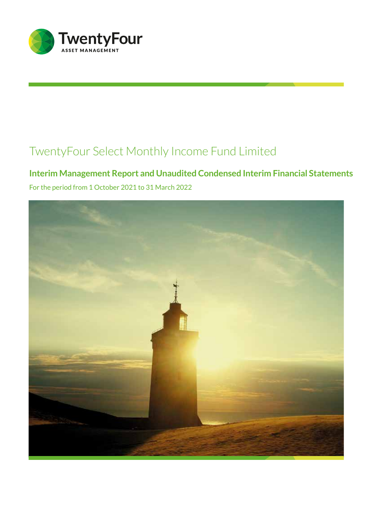

# **Interim Management Report and Unaudited Condensed Interim Financial Statements**

For the period from 1 October 2021 to 31 March 2022

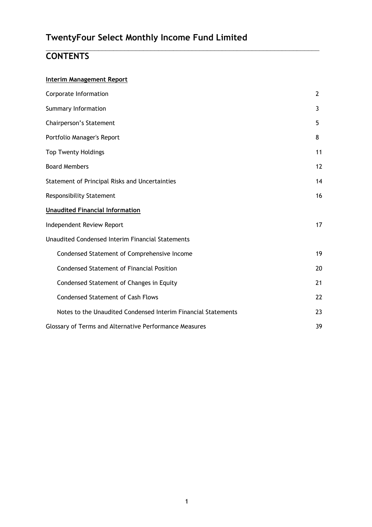## $\_$  , and the set of the set of the set of the set of the set of the set of the set of the set of the set of the set of the set of the set of the set of the set of the set of the set of the set of the set of the set of th **CONTENTS**

## **Interim Management Report**

| Corporate Information                                         | $\overline{2}$  |
|---------------------------------------------------------------|-----------------|
| Summary Information                                           | 3               |
| Chairperson's Statement                                       | 5               |
| Portfolio Manager's Report                                    | 8               |
| <b>Top Twenty Holdings</b>                                    | 11              |
| <b>Board Members</b>                                          | 12              |
| Statement of Principal Risks and Uncertainties                | 14              |
| <b>Responsibility Statement</b>                               | 16              |
| <b>Unaudited Financial Information</b>                        |                 |
| Independent Review Report                                     | 17 <sup>2</sup> |
| Unaudited Condensed Interim Financial Statements              |                 |
| Condensed Statement of Comprehensive Income                   | 19              |
| <b>Condensed Statement of Financial Position</b>              | 20              |
| Condensed Statement of Changes in Equity                      | 21              |
| <b>Condensed Statement of Cash Flows</b>                      | 22              |
| Notes to the Unaudited Condensed Interim Financial Statements | 23              |
| Glossary of Terms and Alternative Performance Measures        | 39              |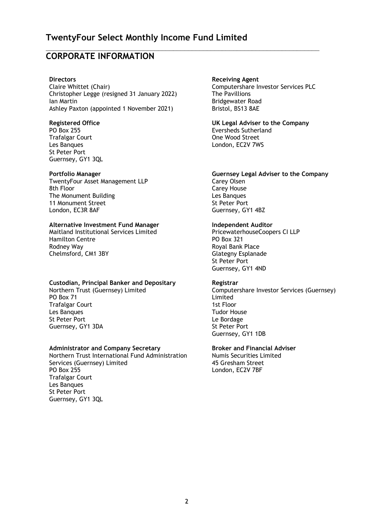$\_$  , and the set of the set of the set of the set of the set of the set of the set of the set of the set of the set of the set of the set of the set of the set of the set of the set of the set of the set of the set of th

## **CORPORATE INFORMATION**

#### **Directors**

Claire Whittet (Chair) Christopher Legge (resigned 31 January 2022) Ian Martin<br>
Ashley Paxton (appointed 1 November 2021) Bristol, BS13 8AE Ashley Paxton (appointed 1 November 2021)

Trafalgar Court **County County County County County County County County County County County County County County County County County County County County County County County County County County County County County Co** St Peter Port Guernsey, GY1 3QL

TwentyFour Asset Management LLP<br>8th Floor Carey House The Monument Building<br>
11 Monument Street<br>
11 Monument Street<br>
Contract Assembly the Street<br>
Street Port 11 Monument Street London, EC3R 8AF Guernsey, GY1 4BZ

## **Alternative Investment Fund Manager Independent Auditor**

Maitland Institutional Services Limited PricewaterhouseCoopers CI LLP Hamilton Centre **PO** Box 321 Rodney Way **Roof Royal Bank Place** Chelmsford, CM1 3BY Glategny Esplanade

## **Custodian, Principal Banker and Depositary Registrar**

Northern Trust (Guernsey) Limited PO Box 71 **Trafalgar Court** Les Banques Tudor House St Peter Port Guernsey, GY1 3DA St Peter Port

## **Administrator and Company Secretary Broker and Financial Adviser**

Northern Trust International Fund Administration Services (Guernsey) Limited<br>PO Box 255 Trafalgar Court Les Banques St Peter Port Guernsey, GY1 3QL

## **Receiving Agent**

Computershare Investor Services PLC<br>The Pavillions

**Registered Office UK Legal Adviser to the Company** PO Box 255 Eversheds Sutherland Les Banques **Les Banques** London, EC2V 7WS

## **Portfolio Manager Guernsey Legal Adviser to the Company**

Carey House

 St Peter Port Guernsey, GY1 4ND

 Computershare Investor Services (Guernsey) Limited<br>1st Floor Guernsey, GY1 1DB

 Numis Securities Limited 45 Gresham Street London, EC2V 7BF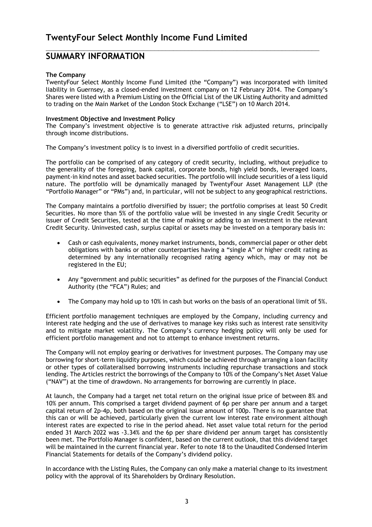## **SUMMARY INFORMATION**

## **The Company**

TwentyFour Select Monthly Income Fund Limited (the "Company") was incorporated with limited liability in Guernsey, as a closed-ended investment company on 12 February 2014. The Company's Shares were listed with a Premium Listing on the Official List of the UK Listing Authority and admitted to trading on the Main Market of the London Stock Exchange ("LSE") on 10 March 2014.

 $\_$  , and the set of the set of the set of the set of the set of the set of the set of the set of the set of the set of the set of the set of the set of the set of the set of the set of the set of the set of the set of th

## **Investment Objective and Investment Policy**

The Company's investment objective is to generate attractive risk adjusted returns, principally through income distributions.

The Company's investment policy is to invest in a diversified portfolio of credit securities.

The portfolio can be comprised of any category of credit security, including, without prejudice to the generality of the foregoing, bank capital, corporate bonds, high yield bonds, leveraged loans, payment-in kind notes and asset backed securities. The portfolio will include securities of a less liquid nature. The portfolio will be dynamically managed by TwentyFour Asset Management LLP (the "Portfolio Manager" or "PMs") and, in particular, will not be subject to any geographical restrictions.

The Company maintains a portfolio diversified by issuer; the portfolio comprises at least 50 Credit Securities. No more than 5% of the portfolio value will be invested in any single Credit Security or issuer of Credit Securities, tested at the time of making or adding to an investment in the relevant Credit Security. Uninvested cash, surplus capital or assets may be invested on a temporary basis in:

- Cash or cash equivalents, money market instruments, bonds, commercial paper or other debt obligations with banks or other counterparties having a "single A" or higher credit rating as determined by any internationally recognised rating agency which, may or may not be registered in the EU;
- Any "government and public securities" as defined for the purposes of the Financial Conduct Authority (the "FCA") Rules; and
- The Company may hold up to 10% in cash but works on the basis of an operational limit of 5%.

Efficient portfolio management techniques are employed by the Company, including currency and interest rate hedging and the use of derivatives to manage key risks such as interest rate sensitivity and to mitigate market volatility. The Company's currency hedging policy will only be used for efficient portfolio management and not to attempt to enhance investment returns.

The Company will not employ gearing or derivatives for investment purposes. The Company may use borrowing for short-term liquidity purposes, which could be achieved through arranging a loan facility or other types of collateralised borrowing instruments including repurchase transactions and stock lending. The Articles restrict the borrowings of the Company to 10% of the Company's Net Asset Value ("NAV") at the time of drawdown. No arrangements for borrowing are currently in place.

At launch, the Company had a target net total return on the original issue price of between 8% and 10% per annum. This comprised a target dividend payment of 6p per share per annum and a target capital return of 2p-4p, both based on the original issue amount of 100p. There is no guarantee that this can or will be achieved, particularly given the current low interest rate environment although interest rates are expected to rise in the period ahead. Net asset value total return for the period ended 31 March 2022 was -3.34% and the 6p per share dividend per annum target has consistently been met. The Portfolio Manager is confident, based on the current outlook, that this dividend target will be maintained in the current financial year. Refer to note 18 to the Unaudited Condensed Interim Financial Statements for details of the Company's dividend policy.

In accordance with the Listing Rules, the Company can only make a material change to its investment policy with the approval of its Shareholders by Ordinary Resolution.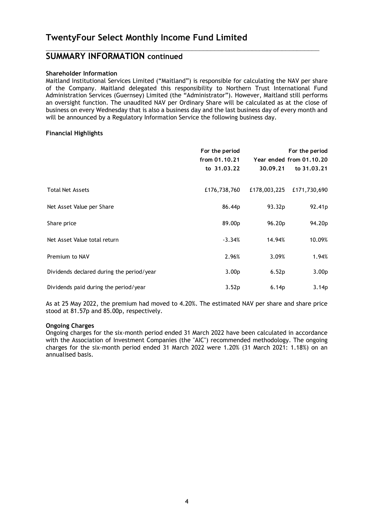## **SUMMARY INFORMATION continued**

## **Shareholder Information**

Maitland Institutional Services Limited ("Maitland") is responsible for calculating the NAV per share of the Company. Maitland delegated this responsibility to Northern Trust International Fund Administration Services (Guernsey) Limited (the "Administrator"). However, Maitland still performs an oversight function. The unaudited NAV per Ordinary Share will be calculated as at the close of business on every Wednesday that is also a business day and the last business day of every month and will be announced by a Regulatory Information Service the following business day.

 $\_$  , and the set of the set of the set of the set of the set of the set of the set of the set of the set of the set of the set of the set of the set of the set of the set of the set of the set of the set of the set of th

## **Financial Highlights**

|                                           | For the period<br>from 01.10.21<br>to 31.03.22 | 30.09.21          | For the period<br>Year ended from 01.10.20<br>to 31.03.21 |
|-------------------------------------------|------------------------------------------------|-------------------|-----------------------------------------------------------|
| <b>Total Net Assets</b>                   | £176,738,760                                   | £178,003,225      | £171,730,690                                              |
| Net Asset Value per Share                 | 86.44p                                         | 93.32p            | 92.41 <sub>p</sub>                                        |
| Share price                               | 89.00p                                         | 96.20p            | 94.20p                                                    |
| Net Asset Value total return              | $-3.34%$                                       | 14.94%            | 10.09%                                                    |
| Premium to NAV                            | 2.96%                                          | 3.09%             | 1.94%                                                     |
| Dividends declared during the period/year | 3.00 <sub>p</sub>                              | 6.52p             | 3.00 <sub>p</sub>                                         |
| Dividends paid during the period/year     | 3.52p                                          | 6.14 <sub>p</sub> | 3.14 <sub>p</sub>                                         |

As at 25 May 2022, the premium had moved to 4.20%. The estimated NAV per share and share price stood at 81.57p and 85.00p, respectively.

## **Ongoing Charges**

Ongoing charges for the six-month period ended 31 March 2022 have been calculated in accordance with the Association of Investment Companies (the "AIC") recommended methodology. The ongoing charges for the six-month period ended 31 March 2022 were 1.20% (31 March 2021: 1.18%) on an annualised basis.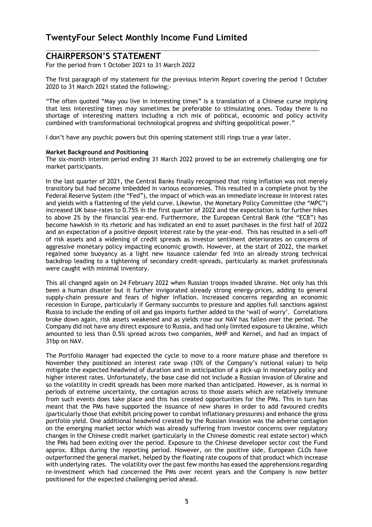## **CHAIRPERSON'S STATEMENT**

For the period from 1 October 2021 to 31 March 2022

The first paragraph of my statement for the previous Interim Report covering the period 1 October 2020 to 31 March 2021 stated the following;-

 $\_$  , and the set of the set of the set of the set of the set of the set of the set of the set of the set of the set of the set of the set of the set of the set of the set of the set of the set of the set of the set of th

"The often quoted "May you live in interesting times" is a translation of a Chinese curse implying that less interesting times may sometimes be preferable to stimulating ones. Today there is no shortage of interesting matters including a rich mix of political, economic and policy activity combined with transformational technological progress and shifting geopolitical power."

I don't have any psychic powers but this opening statement still rings true a year later.

## **Market Background and Positioning**

The six-month interim period ending 31 March 2022 proved to be an extremely challenging one for market participants.

In the last quarter of 2021, the Central Banks finally recognised that rising inflation was not merely transitory but had become imbedded in various economies. This resulted in a complete pivot by the Federal Reserve System (the "Fed"), the impact of which was an immediate increase in interest rates and yields with a flattening of the yield curve. Likewise, the Monetary Policy Committee (the "MPC") increased UK base-rates to 0.75% in the first quarter of 2022 and the expectation is for further hikes to above 2% by the financial year-end. Furthermore, the European Central Bank (the "ECB") has become hawkish in its rhetoric and has indicated an end to asset purchases in the first half of 2022 and an expectation of a positive deposit interest rate by the year-end. This has resulted in a sell-off of risk assets and a widening of credit spreads as investor sentiment deteriorates on concerns of aggressive monetary policy impacting economic growth. However, at the start of 2022, the market regained some buoyancy as a light new issuance calendar fed into an already strong technical backdrop leading to a tightening of secondary credit-spreads, particularly as market professionals were caught with minimal inventory.

This all changed again on 24 February 2022 when Russian troops invaded Ukraine. Not only has this been a human disaster but it further invigorated already strong energy-prices, adding to general supply-chain pressure and fears of higher inflation. Increased concerns regarding an economic recession in Europe, particularly if Germany succumbs to pressure and applies full sanctions against Russia to include the ending of oil and gas imports further added to the 'wall of worry'. Correlations broke down again, risk assets weakened and as yields rose our NAV has fallen over the period. The Company did not have any direct exposure to Russia, and had only limited exposure to Ukraine, which amounted to less than 0.5% spread across two companies, MHP and Kernel, and had an impact of 31bp on NAV.

The Portfolio Manager had expected the cycle to move to a more mature phase and therefore in November they positioned an interest rate swap (10% of the Company's notional value) to help mitigate the expected headwind of duration and in anticipation of a pick-up in monetary policy and higher interest rates. Unfortunately, the base case did not include a Russian invasion of Ukraine and so the volatility in credit spreads has been more marked than anticipated. However, as is normal in periods of extreme uncertainty, the contagion across to those assets which are relatively immune from such events does take place and this has created opportunities for the PMs. This in turn has meant that the PMs have supported the issuance of new shares in order to add favoured credits (particularly those that exhibit pricing power to combat inflationary pressures) and enhance the gross portfolio yield. One additional headwind created by the Russian invasion was the adverse contagion on the emerging market sector which was already suffering from investor concerns over regulatory changes in the Chinese credit market (particularly in the Chinese domestic real estate sector) which the PMs had been exiting over the period. Exposure to the Chinese developer sector cost the Fund approx. 83bps during the reporting period. However, on the positive side, European CLOs have outperformed the general market, helped by the floating rate coupons of that product which increase with underlying rates. The volatility over the past few months has eased the apprehensions regarding re-investment which had concerned the PMs over recent years and the Company is now better positioned for the expected challenging period ahead.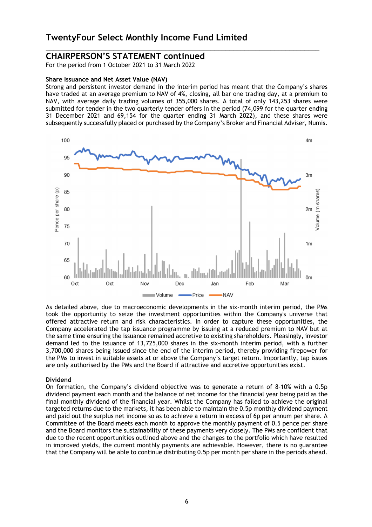## **CHAIRPERSON'S STATEMENT continued**

For the period from 1 October 2021 to 31 March 2022

#### **Share Issuance and Net Asset Value (NAV)**

Strong and persistent investor demand in the interim period has meant that the Company's shares have traded at an average premium to NAV of 4%, closing, all bar one trading day, at a premium to NAV, with average daily trading volumes of 355,000 shares. A total of only 143,253 shares were submitted for tender in the two quarterly tender offers in the period (74,099 for the quarter ending 31 December 2021 and 69,154 for the quarter ending 31 March 2022), and these shares were subsequently successfully placed or purchased by the Company's Broker and Financial Adviser, Numis.

 $\_$  , and the set of the set of the set of the set of the set of the set of the set of the set of the set of the set of the set of the set of the set of the set of the set of the set of the set of the set of the set of th



As detailed above, due to macroeconomic developments in the six-month interim period, the PMs took the opportunity to seize the investment opportunities within the Company's universe that offered attractive return and risk characteristics. In order to capture these opportunities, the Company accelerated the tap issuance programme by issuing at a reduced premium to NAV but at the same time ensuring the issuance remained accretive to existing shareholders. Pleasingly, investor demand led to the issuance of 13,725,000 shares in the six-month interim period, with a further 3,700,000 shares being issued since the end of the interim period, thereby providing firepower for the PMs to invest in suitable assets at or above the Company's target return. Importantly, tap issues are only authorised by the PMs and the Board if attractive and accretive opportunities exist.

#### **Dividend**

On formation, the Company's dividend objective was to generate a return of 8-10% with a 0.5p dividend payment each month and the balance of net income for the financial year being paid as the final monthly dividend of the financial year. Whilst the Company has failed to achieve the original targeted returns due to the markets, it has been able to maintain the 0.5p monthly dividend payment and paid out the surplus net income so as to achieve a return in excess of 6p per annum per share. A Committee of the Board meets each month to approve the monthly payment of 0.5 pence per share and the Board monitors the sustainability of these payments very closely. The PMs are confident that due to the recent opportunities outlined above and the changes to the portfolio which have resulted in improved yields, the current monthly payments are achievable. However, there is no guarantee that the Company will be able to continue distributing 0.5p per month per share in the periods ahead.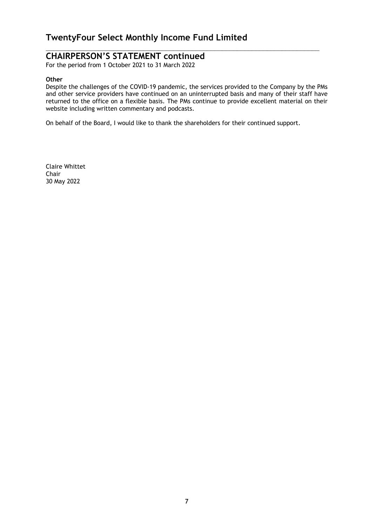## **CHAIRPERSON'S STATEMENT continued**

For the period from 1 October 2021 to 31 March 2022

## **Other**

Despite the challenges of the COVID-19 pandemic, the services provided to the Company by the PMs and other service providers have continued on an uninterrupted basis and many of their staff have returned to the office on a flexible basis. The PMs continue to provide excellent material on their website including written commentary and podcasts.

 $\_$  , and the set of the set of the set of the set of the set of the set of the set of the set of the set of the set of the set of the set of the set of the set of the set of the set of the set of the set of the set of th

On behalf of the Board, I would like to thank the shareholders for their continued support.

Claire Whittet Chair 30 May 2022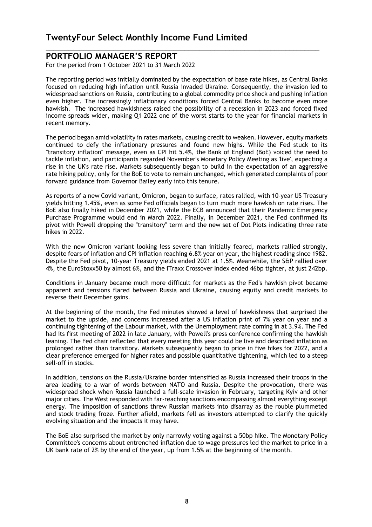## **PORTFOLIO MANAGER'S REPORT**

For the period from 1 October 2021 to 31 March 2022

The reporting period was initially dominated by the expectation of base rate hikes, as Central Banks focused on reducing high inflation until Russia invaded Ukraine. Consequently, the invasion led to widespread sanctions on Russia, contributing to a global commodity price shock and pushing inflation even higher. The increasingly inflationary conditions forced Central Banks to become even more hawkish. The increased hawkishness raised the possibility of a recession in 2023 and forced fixed income spreads wider, making Q1 2022 one of the worst starts to the year for financial markets in recent memory.

 $\_$  , and the set of the set of the set of the set of the set of the set of the set of the set of the set of the set of the set of the set of the set of the set of the set of the set of the set of the set of the set of th

The period began amid volatility in rates markets, causing credit to weaken. However, equity markets continued to defy the inflationary pressures and found new highs. While the Fed stuck to its "transitory inflation" message, even as CPI hit 5.4%, the Bank of England (BoE) voiced the need to tackle inflation, and participants regarded November's Monetary Policy Meeting as 'live', expecting a rise in the UK's rate rise. Markets subsequently began to build in the expectation of an aggressive rate hiking policy, only for the BoE to vote to remain unchanged, which generated complaints of poor forward guidance from Governor Bailey early into this tenure.

As reports of a new Covid variant, Omicron, began to surface, rates rallied, with 10-year US Treasury yields hitting 1.45%, even as some Fed officials began to turn much more hawkish on rate rises. The BoE also finally hiked in December 2021, while the ECB announced that their Pandemic Emergency Purchase Programme would end in March 2022. Finally, in December 2021, the Fed confirmed its pivot with Powell dropping the "transitory" term and the new set of Dot Plots indicating three rate hikes in 2022.

With the new Omicron variant looking less severe than initially feared, markets rallied strongly, despite fears of inflation and CPI inflation reaching 6.8% year on year, the highest reading since 1982. Despite the Fed pivot, 10-year Treasury yields ended 2021 at 1.5%. Meanwhile, the S&P rallied over 4%, the EuroStoxx50 by almost 6%, and the iTraxx Crossover Index ended 46bp tighter, at just 242bp.

Conditions in January became much more difficult for markets as the Fed's hawkish pivot became apparent and tensions flared between Russia and Ukraine, causing equity and credit markets to reverse their December gains.

At the beginning of the month, the Fed minutes showed a level of hawkishness that surprised the market to the upside, and concerns increased after a US inflation print of 7% year on year and a continuing tightening of the Labour market, with the Unemployment rate coming in at 3.9%. The Fed had its first meeting of 2022 in late January, with Powell's press conference confirming the hawkish leaning. The Fed chair reflected that every meeting this year could be live and described inflation as prolonged rather than transitory. Markets subsequently began to price in five hikes for 2022, and a clear preference emerged for higher rates and possible quantitative tightening, which led to a steep sell-off in stocks.

In addition, tensions on the Russia/Ukraine border intensified as Russia increased their troops in the area leading to a war of words between NATO and Russia. Despite the provocation, there was widespread shock when Russia launched a full-scale invasion in February, targeting Kyiv and other major cities. The West responded with far-reaching sanctions encompassing almost everything except energy. The imposition of sanctions threw Russian markets into disarray as the rouble plummeted and stock trading froze. Further afield, markets fell as investors attempted to clarify the quickly evolving situation and the impacts it may have.

The BoE also surprised the market by only narrowly voting against a 50bp hike. The Monetary Policy Committee's concerns about entrenched inflation due to wage pressures led the market to price in a UK bank rate of 2% by the end of the year, up from 1.5% at the beginning of the month.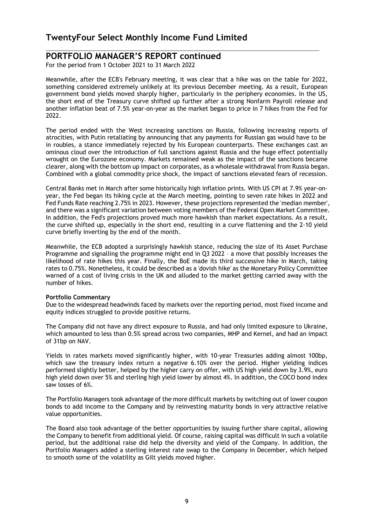## **PORTFOLIO MANAGER'S REPORT continued**

For the period from 1 October 2021 to 31 March 2022

Meanwhile, after the ECB's February meeting, it was clear that a hike was on the table for 2022, something considered extremely unlikely at its previous December meeting. As a result, European government bond yields moved sharply higher, particularly in the periphery economies. In the US, the short end of the Treasury curve shifted up further after a strong Nonfarm Payroll release and another inflation beat of 7.5% year-on-year as the market began to price in 7 hikes from the Fed for 2022.

 $\_$  , and the set of the set of the set of the set of the set of the set of the set of the set of the set of the set of the set of the set of the set of the set of the set of the set of the set of the set of the set of th

The period ended with the West increasing sanctions on Russia, following increasing reports of atrocities, with Putin retaliating by announcing that any payments for Russian gas would have to be in roubles, a stance immediately rejected by his European counterparts. These exchanges cast an ominous cloud over the introduction of full sanctions against Russia and the huge effect potentially wrought on the Eurozone economy. Markets remained weak as the impact of the sanctions became clearer, along with the bottom up impact on corporates, as a wholesale withdrawal from Russia began. Combined with a global commodity price shock, the impact of sanctions elevated fears of recession.

Central Banks met in March after some historically high inflation prints. With US CPI at 7.9% year-onyear, the Fed began its hiking cycle at the March meeting, pointing to seven rate hikes in 2022 and Fed Funds Rate reaching 2.75% in 2023. However, these projections represented the 'median member', and there was a significant variation between voting members of the Federal Open Market Committee. In addition, the Fed's projections proved much more hawkish than market expectations. As a result, the curve shifted up, especially in the short end, resulting in a curve flattening and the 2-10 yield curve briefly inverting by the end of the month.

Meanwhile, the ECB adopted a surprisingly hawkish stance, reducing the size of its Asset Purchase Programme and signalling the programme might end in Q3 2022 – a move that possibly increases the likelihood of rate hikes this year. Finally, the BoE made its third successive hike in March, taking rates to 0.75%. Nonetheless, it could be described as a 'dovish hike' as the Monetary Policy Committee warned of a cost of living crisis in the UK and alluded to the market getting carried away with the number of hikes.

#### **Portfolio Commentary**

Due to the widespread headwinds faced by markets over the reporting period, most fixed income and equity indices struggled to provide positive returns.

The Company did not have any direct exposure to Russia, and had only limited exposure to Ukraine, which amounted to less than 0.5% spread across two companies, MHP and Kernel, and had an impact of 31bp on NAV.

Yields in rates markets moved significantly higher, with 10-year Treasuries adding almost 100bp, which saw the treasury index return a negative 6.10% over the period. Higher yielding indices performed slightly better, helped by the higher carry on offer, with US high yield down by 3.9%, euro high yield down over 5% and sterling high yield lower by almost 4%. In addition, the COCO bond index saw losses of 6%.

The Portfolio Managers took advantage of the more difficult markets by switching out of lower coupon bonds to add income to the Company and by reinvesting maturity bonds in very attractive relative value opportunities.

The Board also took advantage of the better opportunities by issuing further share capital, allowing the Company to benefit from additional yield. Of course, raising capital was difficult in such a volatile period, but the additional raise did help the diversity and yield of the Company. In addition, the Portfolio Managers added a sterling interest rate swap to the Company in December, which helped to smooth some of the volatility as Gilt yields moved higher.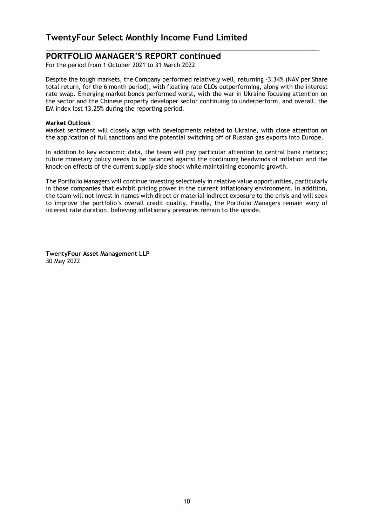## **PORTFOLIO MANAGER'S REPORT continued**

For the period from 1 October 2021 to 31 March 2022

Despite the tough markets, the Company performed relatively well, returning -3.34% (NAV per Share total return, for the 6 month period), with floating rate CLOs outperforming, along with the interest rate swap. Emerging market bonds performed worst, with the war in Ukraine focusing attention on the sector and the Chinese property developer sector continuing to underperform, and overall, the EM index lost 13.25% during the reporting period.

 $\_$  , and the set of the set of the set of the set of the set of the set of the set of the set of the set of the set of the set of the set of the set of the set of the set of the set of the set of the set of the set of th

## **Market Outlook**

Market sentiment will closely align with developments related to Ukraine, with close attention on the application of full sanctions and the potential switching off of Russian gas exports into Europe.

In addition to key economic data, the team will pay particular attention to central bank rhetoric; future monetary policy needs to be balanced against the continuing headwinds of inflation and the knock-on effects of the current supply-side shock while maintaining economic growth.

The Portfolio Managers will continue investing selectively in relative value opportunities, particularly in those companies that exhibit pricing power in the current inflationary environment. In addition, the team will not invest in names with direct or material indirect exposure to the crisis and will seek to improve the portfolio's overall credit quality. Finally, the Portfolio Managers remain wary of interest rate duration, believing inflationary pressures remain to the upside.

**TwentyFour Asset Management LLP**  30 May 2022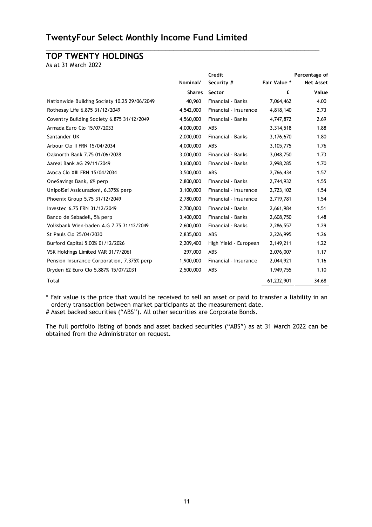## **TOP TWENTY HOLDINGS**

As at 31 March 2022

|                                              |               | Credit                |              | Percentage of    |
|----------------------------------------------|---------------|-----------------------|--------------|------------------|
|                                              | Nominal/      | Security #            | Fair Value * | <b>Net Asset</b> |
|                                              | <b>Shares</b> | Sector                | £            | Value            |
| Nationwide Building Society 10.25 29/06/2049 | 40,960        | Financial - Banks     | 7,064,462    | 4.00             |
| Rothesay Life 6.875 31/12/2049               | 4,542,000     | Financial - Insurance | 4,818,140    | 2.73             |
| Coventry Building Society 6.875 31/12/2049   | 4,560,000     | Financial - Banks     | 4,747,872    | 2.69             |
| Armada Euro Clo 15/07/2033                   | 4,000,000     | <b>ABS</b>            | 3,314,518    | 1.88             |
| Santander UK                                 | 2,000,000     | Financial - Banks     | 3,176,670    | 1.80             |
| Arbour Clo II FRN 15/04/2034                 | 4,000,000     | ABS                   | 3,105,775    | 1.76             |
| Oaknorth Bank 7.75 01/06/2028                | 3,000,000     | Financial - Banks     | 3,048,750    | 1.73             |
| Aareal Bank AG 29/11/2049                    | 3,600,000     | Financial - Banks     | 2,998,285    | 1.70             |
| Avoca Clo XIII FRN 15/04/2034                | 3,500,000     | ABS                   | 2,766,434    | 1.57             |
| OneSavings Bank, 6% perp                     | 2,800,000     | Financial - Banks     | 2,744,932    | 1.55             |
| UnipolSai Assicurazioni, 6.375% perp         | 3,100,000     | Financial - Insurance | 2,723,102    | 1.54             |
| Phoenix Group 5.75 31/12/2049                | 2,780,000     | Financial - Insurance | 2,719,781    | 1.54             |
| Investec 6.75 FRN 31/12/2049                 | 2,700,000     | Financial - Banks     | 2,661,984    | 1.51             |
| Banco de Sabadell, 5% perp                   | 3,400,000     | Financial - Banks     | 2,608,750    | 1.48             |
| Volksbank Wien-baden A.G 7.75 31/12/2049     | 2,600,000     | Financial - Banks     | 2,286,557    | 1.29             |
| St Pauls Clo 25/04/2030                      | 2,835,000     | ABS                   | 2,226,995    | 1.26             |
| Burford Capital 5.00% 01/12/2026             | 2,209,400     | High Yield - European | 2,149,211    | 1.22             |
| VSK Holdings Limited VAR 31/7/2061           | 297,000       | <b>ABS</b>            | 2,076,007    | 1.17             |
| Pension Insurance Corporation, 7.375% perp   | 1,900,000     | Financial - Insurance | 2,044,921    | 1.16             |
| Dryden 62 Euro Clo 5.887% 15/07/2031         | 2,500,000     | <b>ABS</b>            | 1,949,755    | 1.10             |
| Total                                        |               |                       | 61,232,901   | 34.68            |

 $\_$  , and the set of the set of the set of the set of the set of the set of the set of the set of the set of the set of the set of the set of the set of the set of the set of the set of the set of the set of the set of th

\* Fair value is the price that would be received to sell an asset or paid to transfer a liability in an orderly transaction between market participants at the measurement date. # Asset backed securities ("ABS"). All other securities are Corporate Bonds.

The full portfolio listing of bonds and asset backed securities ("ABS") as at 31 March 2022 can be obtained from the Administrator on request.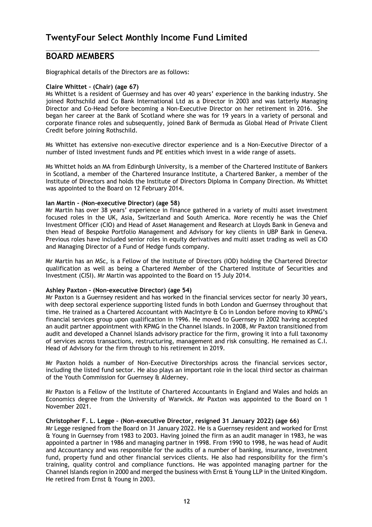## **BOARD MEMBERS**

Biographical details of the Directors are as follows:

## **Claire Whittet – (Chair) (age 67)**

Ms Whittet is a resident of Guernsey and has over 40 years' experience in the banking industry. She joined Rothschild and Co Bank International Ltd as a Director in 2003 and was latterly Managing Director and Co-Head before becoming a Non-Executive Director on her retirement in 2016. She began her career at the Bank of Scotland where she was for 19 years in a variety of personal and corporate finance roles and subsequently, joined Bank of Bermuda as Global Head of Private Client Credit before joining Rothschild.

 $\_$  , and the set of the set of the set of the set of the set of the set of the set of the set of the set of the set of the set of the set of the set of the set of the set of the set of the set of the set of the set of th

Ms Whittet has extensive non-executive director experience and is a Non-Executive Director of a number of listed investment funds and PE entities which invest in a wide range of assets.

Ms Whittet holds an MA from Edinburgh University, is a member of the Chartered Institute of Bankers in Scotland, a member of the Chartered Insurance Institute, a Chartered Banker, a member of the Institute of Directors and holds the Institute of Directors Diploma in Company Direction. Ms Whittet was appointed to the Board on 12 February 2014.

## **Ian Martin - (Non-executive Director) (age 58)**

Mr Martin has over 38 years' experience in finance gathered in a variety of multi asset investment focused roles in the UK, Asia, Switzerland and South America. More recently he was the Chief Investment Officer (CIO) and Head of Asset Management and Research at Lloyds Bank in Geneva and then Head of Bespoke Portfolio Management and Advisory for key clients in UBP Bank in Geneva. Previous roles have included senior roles in equity derivatives and multi asset trading as well as CIO and Managing Director of a Fund of Hedge funds company.

Mr Martin has an MSc, is a Fellow of the Institute of Directors (IOD) holding the Chartered Director qualification as well as being a Chartered Member of the Chartered Institute of Securities and Investment (CISI). Mr Martin was appointed to the Board on 15 July 2014.

#### **Ashley Paxton - (Non-executive Director) (age 54)**

Mr Paxton is a Guernsey resident and has worked in the financial services sector for nearly 30 years, with deep sectoral experience supporting listed funds in both London and Guernsey throughout that time. He trained as a Chartered Accountant with MacIntyre & Co in London before moving to KPMG's financial services group upon qualification in 1996. He moved to Guernsey in 2002 having accepted an audit partner appointment with KPMG in the Channel Islands. In 2008, Mr Paxton transitioned from audit and developed a Channel Islands advisory practice for the firm, growing it into a full taxonomy of services across transactions, restructuring, management and risk consulting. He remained as C.I. Head of Advisory for the firm through to his retirement in 2019.

Mr Paxton holds a number of Non-Executive Directorships across the financial services sector, including the listed fund sector. He also plays an important role in the local third sector as chairman of the Youth Commission for Guernsey & Alderney.

Mr Paxton is a Fellow of the Institute of Chartered Accountants in England and Wales and holds an Economics degree from the University of Warwick. Mr Paxton was appointed to the Board on 1 November 2021.

#### **Christopher F. L. Legge – (Non-executive Director, resigned 31 January 2022) (age 66)**

Mr Legge resigned from the Board on 31 January 2022. He is a Guernsey resident and worked for Ernst & Young in Guernsey from 1983 to 2003. Having joined the firm as an audit manager in 1983, he was appointed a partner in 1986 and managing partner in 1998. From 1990 to 1998, he was head of Audit and Accountancy and was responsible for the audits of a number of banking, insurance, investment fund, property fund and other financial services clients. He also had responsibility for the firm's training, quality control and compliance functions. He was appointed managing partner for the Channel Islands region in 2000 and merged the business with Ernst & Young LLP in the United Kingdom. He retired from Ernst & Young in 2003.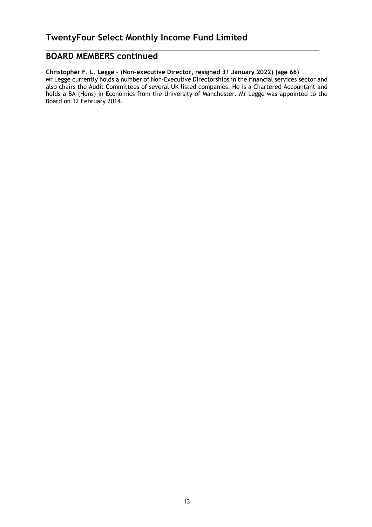# **BOARD MEMBERS continued**

## **Christopher F. L. Legge – (Non-executive Director, resigned 31 January 2022) (age 66)**

Mr Legge currently holds a number of Non-Executive Directorships in the financial services sector and also chairs the Audit Committees of several UK listed companies. He is a Chartered Accountant and holds a BA (Hons) in Economics from the University of Manchester. Mr Legge was appointed to the Board on 12 February 2014.

 $\_$  , and the set of the set of the set of the set of the set of the set of the set of the set of the set of the set of the set of the set of the set of the set of the set of the set of the set of the set of the set of th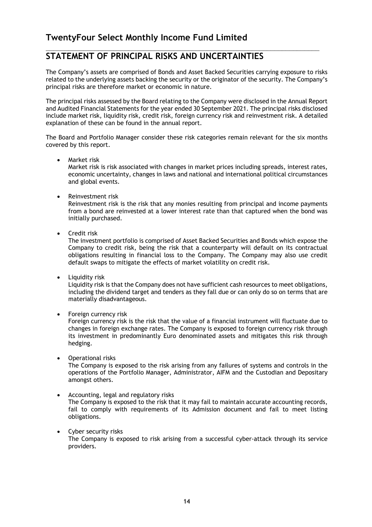## $\_$  , and the set of the set of the set of the set of the set of the set of the set of the set of the set of the set of the set of the set of the set of the set of the set of the set of the set of the set of the set of th **STATEMENT OF PRINCIPAL RISKS AND UNCERTAINTIES**

The Company's assets are comprised of Bonds and Asset Backed Securities carrying exposure to risks related to the underlying assets backing the security or the originator of the security. The Company's principal risks are therefore market or economic in nature.

The principal risks assessed by the Board relating to the Company were disclosed in the Annual Report and Audited Financial Statements for the year ended 30 September 2021. The principal risks disclosed include market risk, liquidity risk, credit risk, foreign currency risk and reinvestment risk. A detailed explanation of these can be found in the annual report.

The Board and Portfolio Manager consider these risk categories remain relevant for the six months covered by this report.

Market risk

Market risk is risk associated with changes in market prices including spreads, interest rates, economic uncertainty, changes in laws and national and international political circumstances and global events.

• Reinvestment risk

Reinvestment risk is the risk that any monies resulting from principal and income payments from a bond are reinvested at a lower interest rate than that captured when the bond was initially purchased.

• Credit risk

The investment portfolio is comprised of Asset Backed Securities and Bonds which expose the Company to credit risk, being the risk that a counterparty will default on its contractual obligations resulting in financial loss to the Company. The Company may also use credit default swaps to mitigate the effects of market volatility on credit risk.

Liquidity risk

Liquidity risk is that the Company does not have sufficient cash resources to meet obligations, including the dividend target and tenders as they fall due or can only do so on terms that are materially disadvantageous.

• Foreign currency risk

Foreign currency risk is the risk that the value of a financial instrument will fluctuate due to changes in foreign exchange rates. The Company is exposed to foreign currency risk through its investment in predominantly Euro denominated assets and mitigates this risk through hedging.

Operational risks

The Company is exposed to the risk arising from any failures of systems and controls in the operations of the Portfolio Manager, Administrator, AIFM and the Custodian and Depositary amongst others.

- Accounting, legal and regulatory risks The Company is exposed to the risk that it may fail to maintain accurate accounting records, fail to comply with requirements of its Admission document and fail to meet listing obligations.
- Cyber security risks The Company is exposed to risk arising from a successful cyber-attack through its service providers.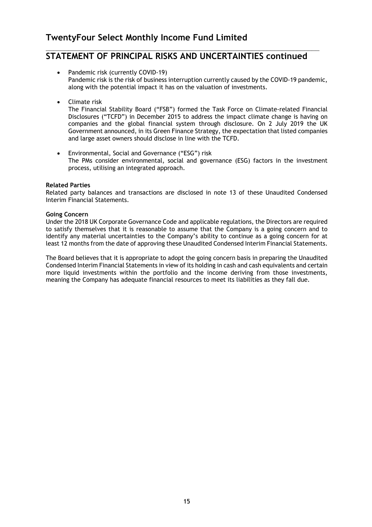## $\_$  , and the set of the set of the set of the set of the set of the set of the set of the set of the set of the set of the set of the set of the set of the set of the set of the set of the set of the set of the set of th **STATEMENT OF PRINCIPAL RISKS AND UNCERTAINTIES continued**

- Pandemic risk (currently COVID-19) Pandemic risk is the risk of business interruption currently caused by the COVID-19 pandemic, along with the potential impact it has on the valuation of investments.
- Climate risk

The Financial Stability Board ("FSB") formed the Task Force on Climate-related Financial Disclosures ("TCFD") in December 2015 to address the impact climate change is having on companies and the global financial system through disclosure. On 2 July 2019 the UK Government announced, in its Green Finance Strategy, the expectation that listed companies and large asset owners should disclose in line with the TCFD.

 Environmental, Social and Governance ("ESG") risk The PMs consider environmental, social and governance (ESG) factors in the investment process, utilising an integrated approach.

## **Related Parties**

Related party balances and transactions are disclosed in note 13 of these Unaudited Condensed Interim Financial Statements.

## **Going Concern**

Under the 2018 UK Corporate Governance Code and applicable regulations, the Directors are required to satisfy themselves that it is reasonable to assume that the Company is a going concern and to identify any material uncertainties to the Company's ability to continue as a going concern for at least 12 months from the date of approving these Unaudited Condensed Interim Financial Statements.

The Board believes that it is appropriate to adopt the going concern basis in preparing the Unaudited Condensed Interim Financial Statements in view of its holding in cash and cash equivalents and certain more liquid investments within the portfolio and the income deriving from those investments, meaning the Company has adequate financial resources to meet its liabilities as they fall due.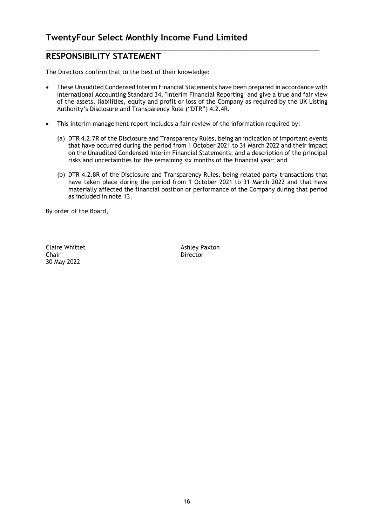## $\_$  , and the set of the set of the set of the set of the set of the set of the set of the set of the set of the set of the set of the set of the set of the set of the set of the set of the set of the set of the set of th **RESPONSIBILITY STATEMENT**

The Directors confirm that to the best of their knowledge:

- These Unaudited Condensed Interim Financial Statements have been prepared in accordance with International Accounting Standard 34, "Interim Financial Reporting" and give a true and fair view of the assets, liabilities, equity and profit or loss of the Company as required by the UK Listing Authority's Disclosure and Transparency Rule ("DTR") 4.2.4R.
- This interim management report includes a fair review of the information required by:
	- (a) DTR 4.2.7R of the Disclosure and Transparency Rules, being an indication of important events that have occurred during the period from 1 October 2021 to 31 March 2022 and their impact on the Unaudited Condensed Interim Financial Statements; and a description of the principal risks and uncertainties for the remaining six months of the financial year; and
	- (b) DTR 4.2.8R of the Disclosure and Transparency Rules, being related party transactions that have taken place during the period from 1 October 2021 to 31 March 2022 and that have materially affected the financial position or performance of the Company during that period as included in note 13.

By order of the Board,

Claire Whittet **Ashley Paxton** Chair **Director** 30 May 2022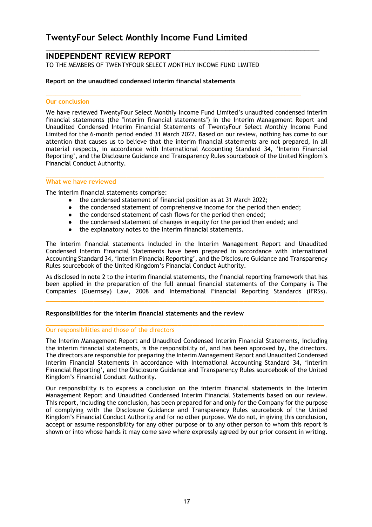## **INDEPENDENT REVIEW REPORT**

TO THE MEMBERS OF TWENTYFOUR SELECT MONTHLY INCOME FUND LIMITED

## **Report on the unaudited condensed interim financial statements**

#### **Our conclusion**

We have reviewed TwentyFour Select Monthly Income Fund Limited's unaudited condensed interim financial statements (the "interim financial statements") in the Interim Management Report and Unaudited Condensed Interim Financial Statements of TwentyFour Select Monthly Income Fund Limited for the 6-month period ended 31 March 2022. Based on our review, nothing has come to our attention that causes us to believe that the interim financial statements are not prepared, in all material respects, in accordance with International Accounting Standard 34, 'Interim Financial Reporting', and the Disclosure Guidance and Transparency Rules sourcebook of the United Kingdom's Financial Conduct Authority.

 $\_$  , and the set of the set of the set of the set of the set of the set of the set of the set of the set of the set of the set of the set of the set of the set of the set of the set of the set of the set of the set of th

 $\_$  , and the set of the set of the set of the set of the set of the set of the set of the set of the set of the set of the set of the set of the set of the set of the set of the set of the set of the set of the set of th

#### **What we have reviewed**

The interim financial statements comprise:

- the condensed statement of financial position as at 31 March 2022;
- the condensed statement of comprehensive income for the period then ended;

**\_\_\_\_\_\_\_\_\_\_\_\_\_\_\_\_\_\_\_\_\_\_\_\_\_\_\_\_\_\_\_\_\_\_\_\_\_\_\_\_\_\_\_\_\_\_\_\_\_\_\_\_\_\_\_\_\_\_\_\_\_\_\_\_\_\_\_\_\_\_\_\_\_\_\_\_**

- the condensed statement of cash flows for the period then ended;<br>● the condensed statement of changes in equity for the period then
- the condensed statement of changes in equity for the period then ended; and
- the explanatory notes to the interim financial statements.

The interim financial statements included in the Interim Management Report and Unaudited Condensed Interim Financial Statements have been prepared in accordance with International Accounting Standard 34, 'Interim Financial Reporting', and the Disclosure Guidance and Transparency Rules sourcebook of the United Kingdom's Financial Conduct Authority.

As disclosed in note 2 to the interim financial statements, the financial reporting framework that has been applied in the preparation of the full annual financial statements of the Company is The Companies (Guernsey) Law, 2008 and International Financial Reporting Standards (IFRSs).

**\_\_\_\_\_\_\_\_\_\_\_\_\_\_\_\_\_\_\_\_\_\_\_\_\_\_\_\_\_\_\_\_\_\_\_\_\_\_\_\_\_\_\_\_\_\_\_\_\_\_\_\_\_\_\_\_\_\_\_\_\_\_\_\_\_\_\_\_\_\_\_\_\_\_\_\_**

**\_\_\_\_\_\_\_\_\_\_\_\_\_\_\_\_\_\_\_\_\_\_\_\_\_\_\_\_\_\_\_\_\_\_\_\_\_\_\_\_\_\_\_\_\_\_\_\_\_\_\_\_\_\_\_\_\_\_\_\_\_\_\_\_\_\_\_\_\_\_\_\_\_\_\_\_**

#### **Responsibilities for the interim financial statements and the review**

#### Our responsibilities and those of the directors

The Interim Management Report and Unaudited Condensed Interim Financial Statements, including the interim financial statements, is the responsibility of, and has been approved by, the directors. The directors are responsible for preparing the Interim Management Report and Unaudited Condensed Interim Financial Statements in accordance with International Accounting Standard 34, 'Interim Financial Reporting', and the Disclosure Guidance and Transparency Rules sourcebook of the United Kingdom's Financial Conduct Authority.

Our responsibility is to express a conclusion on the interim financial statements in the Interim Management Report and Unaudited Condensed Interim Financial Statements based on our review. This report, including the conclusion, has been prepared for and only for the Company for the purpose of complying with the Disclosure Guidance and Transparency Rules sourcebook of the United Kingdom's Financial Conduct Authority and for no other purpose. We do not, in giving this conclusion, accept or assume responsibility for any other purpose or to any other person to whom this report is shown or into whose hands it may come save where expressly agreed by our prior consent in writing.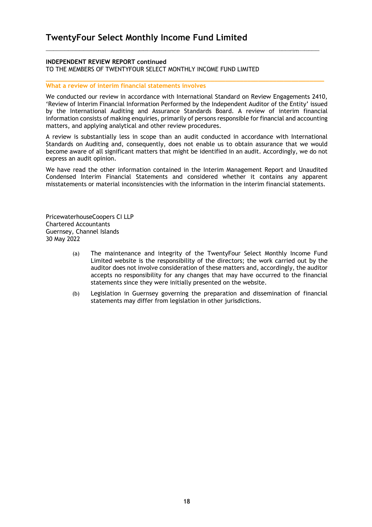## **INDEPENDENT REVIEW REPORT continued**

TO THE MEMBERS OF TWENTYFOUR SELECT MONTHLY INCOME FUND LIMITED

## **What a review of interim financial statements involves**

We conducted our review in accordance with International Standard on Review Engagements 2410, 'Review of Interim Financial Information Performed by the Independent Auditor of the Entity' issued by the International Auditing and Assurance Standards Board. A review of interim financial information consists of making enquiries, primarily of persons responsible for financial and accounting matters, and applying analytical and other review procedures.

 $\_$  , and the set of the set of the set of the set of the set of the set of the set of the set of the set of the set of the set of the set of the set of the set of the set of the set of the set of the set of the set of th

**\_\_\_\_\_\_\_\_\_\_\_\_\_\_\_\_\_\_\_\_\_\_\_\_\_\_\_\_\_\_\_\_\_\_\_\_\_\_\_\_\_\_\_\_\_\_\_\_\_\_\_\_\_\_\_\_\_\_\_\_\_\_\_\_\_\_\_\_\_\_\_\_\_\_\_\_**

A review is substantially less in scope than an audit conducted in accordance with International Standards on Auditing and, consequently, does not enable us to obtain assurance that we would become aware of all significant matters that might be identified in an audit. Accordingly, we do not express an audit opinion.

We have read the other information contained in the Interim Management Report and Unaudited Condensed Interim Financial Statements and considered whether it contains any apparent misstatements or material inconsistencies with the information in the interim financial statements.

PricewaterhouseCoopers CI LLP Chartered Accountants Guernsey, Channel Islands 30 May 2022

- (a) The maintenance and integrity of the TwentyFour Select Monthly Income Fund Limited website is the responsibility of the directors; the work carried out by the auditor does not involve consideration of these matters and, accordingly, the auditor accepts no responsibility for any changes that may have occurred to the financial statements since they were initially presented on the website.
- (b) Legislation in Guernsey governing the preparation and dissemination of financial statements may differ from legislation in other jurisdictions.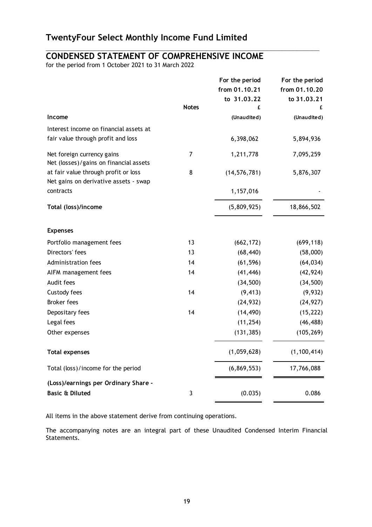# **CONDENSED STATEMENT OF COMPREHENSIVE INCOME**

 $\_$  , and the set of the set of the set of the set of the set of the set of the set of the set of the set of the set of the set of the set of the set of the set of the set of the set of the set of the set of the set of th

for the period from 1 October 2021 to 31 March 2022

|                                        |              | For the period | For the period |
|----------------------------------------|--------------|----------------|----------------|
|                                        |              | from 01.10.21  | from 01.10.20  |
|                                        |              | to 31.03.22    | to 31.03.21    |
|                                        | <b>Notes</b> | £              |                |
| Income                                 |              | (Unaudited)    | (Unaudited)    |
| Interest income on financial assets at |              |                |                |
| fair value through profit and loss     |              | 6,398,062      | 5,894,936      |
| Net foreign currency gains             | 7            | 1,211,778      | 7,095,259      |
| Net (losses)/gains on financial assets |              |                |                |
| at fair value through profit or loss   | 8            | (14, 576, 781) | 5,876,307      |
| Net gains on derivative assets - swap  |              |                |                |
| contracts                              |              | 1,157,016      |                |
| Total (loss)/income                    |              | (5,809,925)    | 18,866,502     |
| <b>Expenses</b>                        |              |                |                |
| Portfolio management fees              | 13           | (662, 172)     | (699, 118)     |
| Directors' fees                        | 13           | (68, 440)      | (58,000)       |
| Administration fees                    | 14           | (61, 596)      | (64, 034)      |
| AIFM management fees                   | 14           | (41, 446)      | (42, 924)      |
| Audit fees                             |              | (34, 500)      | (34, 500)      |
| Custody fees                           | 14           | (9, 413)       | (9,932)        |
| <b>Broker fees</b>                     |              | (24, 932)      | (24, 927)      |
| Depositary fees                        | 14           | (14, 490)      | (15, 222)      |
| Legal fees                             |              | (11, 254)      | (46, 488)      |
| Other expenses                         |              | (131, 385)     | (105, 269)     |
| <b>Total expenses</b>                  |              | (1,059,628)    | (1, 100, 414)  |
| Total (loss)/income for the period     |              | (6, 869, 553)  | 17,766,088     |
| (Loss)/earnings per Ordinary Share -   |              |                |                |
| <b>Basic &amp; Diluted</b>             | 3            | (0.035)        | 0.086          |

All items in the above statement derive from continuing operations.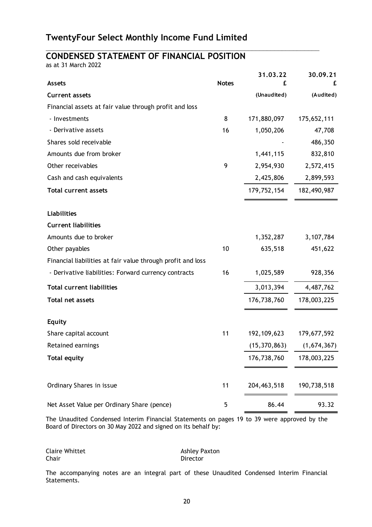$\_$  , and the set of the set of the set of the set of the set of the set of the set of the set of the set of the set of the set of the set of the set of the set of the set of the set of the set of the set of the set of th

## **CONDENSED STATEMENT OF FINANCIAL POSITION**

as at 31 March 2022

| <b>Assets</b>                                               | <b>Notes</b> | 31.03.22<br>£  | 30.09.21<br>£ |
|-------------------------------------------------------------|--------------|----------------|---------------|
| <b>Current assets</b>                                       |              | (Unaudited)    | (Audited)     |
| Financial assets at fair value through profit and loss      |              |                |               |
| - Investments                                               | 8            | 171,880,097    | 175,652,111   |
| - Derivative assets                                         | 16           | 1,050,206      | 47,708        |
| Shares sold receivable                                      |              |                | 486,350       |
| Amounts due from broker                                     |              | 1,441,115      | 832,810       |
| Other receivables                                           | 9            | 2,954,930      | 2,572,415     |
| Cash and cash equivalents                                   |              | 2,425,806      | 2,899,593     |
| <b>Total current assets</b>                                 |              | 179,752,154    | 182,490,987   |
| <b>Liabilities</b>                                          |              |                |               |
| <b>Current liabilities</b>                                  |              |                |               |
| Amounts due to broker                                       |              | 1,352,287      | 3,107,784     |
| Other payables                                              | 10           | 635,518        | 451,622       |
| Financial liabilities at fair value through profit and loss |              |                |               |
| - Derivative liabilities: Forward currency contracts        | 16           | 1,025,589      | 928,356       |
| <b>Total current liabilities</b>                            |              | 3,013,394      | 4,487,762     |
| <b>Total net assets</b>                                     |              | 176,738,760    | 178,003,225   |
| <b>Equity</b>                                               |              |                |               |
| Share capital account                                       | 11           | 192, 109, 623  | 179,677,592   |
| Retained earnings                                           |              | (15, 370, 863) | (1,674,367)   |
| <b>Total equity</b>                                         |              | 176,738,760    | 178,003,225   |
| Ordinary Shares in issue                                    | 11           | 204, 463, 518  | 190,738,518   |
| Net Asset Value per Ordinary Share (pence)                  | 5            | 86.44          | 93.32         |

The Unaudited Condensed Interim Financial Statements on pages 19 to 39 were approved by the Board of Directors on 30 May 2022 and signed on its behalf by:

Chair **Director** Director

Claire Whittet **Ashley Paxton**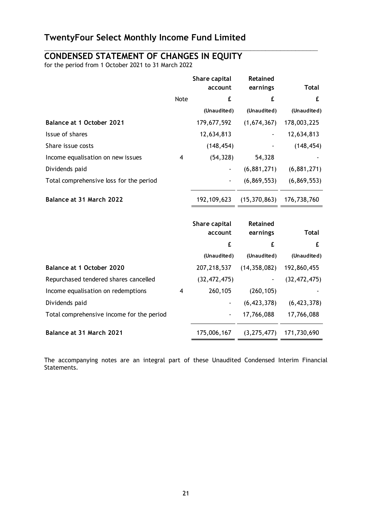## **CONDENSED STATEMENT OF CHANGES IN EQUITY**

for the period from 1 October 2021 to 31 March 2022

|                                           |             | Share capital<br>account | Retained<br>earnings         | <b>Total</b>   |
|-------------------------------------------|-------------|--------------------------|------------------------------|----------------|
|                                           |             | £                        | £                            | £              |
|                                           | <b>Note</b> |                          |                              |                |
|                                           |             | (Unaudited)              | (Unaudited)                  | (Unaudited)    |
| Balance at 1 October 2021                 |             | 179,677,592              | (1,674,367)                  | 178,003,225    |
| Issue of shares                           |             | 12,634,813               |                              | 12,634,813     |
| Share issue costs                         |             | (148, 454)               |                              | (148, 454)     |
| Income equalisation on new issues         | 4           | (54, 328)                | 54,328                       |                |
| Dividends paid                            |             |                          | (6,881,271)                  | (6,881,271)    |
| Total comprehensive loss for the period   |             |                          | (6,869,553)                  | (6,869,553)    |
| Balance at 31 March 2022                  |             | 192,109,623              | $(15,370,863)$ $176,738,760$ |                |
|                                           |             | Share capital            | <b>Retained</b>              |                |
|                                           |             | account                  | earnings                     | <b>Total</b>   |
|                                           |             | £                        | £                            | £              |
|                                           |             | (Unaudited)              | (Unaudited)                  | (Unaudited)    |
| Balance at 1 October 2020                 |             | 207,218,537              | (14, 358, 082)               | 192,860,455    |
| Repurchased tendered shares cancelled     |             | (32, 472, 475)           |                              | (32, 472, 475) |
| Income equalisation on redemptions        | 4           | 260,105                  | (260, 105)                   |                |
| Dividends paid                            |             |                          | (6, 423, 378)                | (6, 423, 378)  |
| Total comprehensive income for the period |             |                          | 17,766,088                   | 17,766,088     |
| Balance at 31 March 2021                  |             | 175,006,167              | (3, 275, 477)                | 171,730,690    |

 $\_$  , and the set of the set of the set of the set of the set of the set of the set of the set of the set of the set of the set of the set of the set of the set of the set of the set of the set of the set of the set of th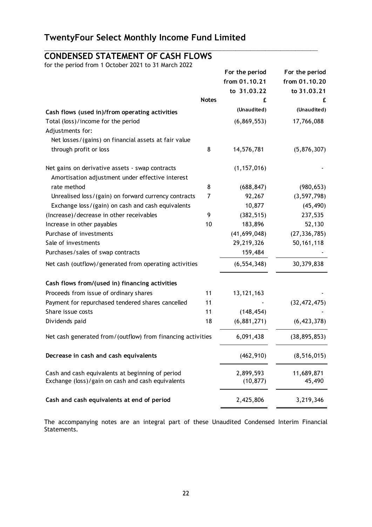$\_$  , and the set of the set of the set of the set of the set of the set of the set of the set of the set of the set of the set of the set of the set of the set of the set of the set of the set of the set of the set of th

# **CONDENSED STATEMENT OF CASH FLOWS**

for the period from 1 October 2021 to 31 March 2022

|                                                             |              | For the period<br>from 01.10.21<br>to 31.03.22 | For the period<br>from 01.10.20<br>to 31.03.21 |
|-------------------------------------------------------------|--------------|------------------------------------------------|------------------------------------------------|
|                                                             | <b>Notes</b> | £                                              | £                                              |
| Cash flows (used in)/from operating activities              |              | (Unaudited)                                    | (Unaudited)                                    |
| Total (loss)/income for the period                          |              | (6,869,553)                                    | 17,766,088                                     |
| Adjustments for:                                            |              |                                                |                                                |
| Net losses/(gains) on financial assets at fair value        |              |                                                |                                                |
| through profit or loss                                      | 8            | 14,576,781                                     | (5,876,307)                                    |
|                                                             |              |                                                |                                                |
| Net gains on derivative assets - swap contracts             |              | (1, 157, 016)                                  |                                                |
| Amortisation adjustment under effective interest            |              |                                                |                                                |
| rate method                                                 | 8            | (688, 847)                                     | (980, 653)                                     |
| Unrealised loss/(gain) on forward currency contracts        | 7            | 92,267                                         | (3, 597, 798)                                  |
| Exchange loss/(gain) on cash and cash equivalents           |              | 10,877                                         | (45, 490)                                      |
| (Increase)/decrease in other receivables                    | 9            | (382, 515)                                     | 237,535                                        |
| Increase in other payables                                  | 10           | 183,896                                        | 52,130                                         |
| Purchase of investments                                     |              | (41, 699, 048)                                 | (27, 336, 785)                                 |
| Sale of investments                                         |              | 29,219,326                                     | 50, 161, 118                                   |
| Purchases/sales of swap contracts                           |              | 159,484                                        |                                                |
| Net cash (outflow)/generated from operating activities      |              | (6, 554, 348)                                  | 30,379,838                                     |
| Cash flows from/(used in) financing activities              |              |                                                |                                                |
| Proceeds from issue of ordinary shares                      | 11           | 13, 121, 163                                   |                                                |
| Payment for repurchased tendered shares cancelled           | 11           |                                                | (32, 472, 475)                                 |
| Share issue costs                                           | 11           | (148, 454)                                     |                                                |
| Dividends paid                                              | 18           | (6,881,271)                                    | (6, 423, 378)                                  |
| Net cash generated from/(outflow) from financing activities |              | 6,091,438                                      | (38, 895, 853)                                 |
| Decrease in cash and cash equivalents                       |              | (462, 910)                                     | (8, 516, 015)                                  |
| Cash and cash equivalents at beginning of period            |              | 2,899,593                                      | 11,689,871                                     |
| Exchange (loss)/gain on cash and cash equivalents           |              | (10, 877)                                      | 45,490                                         |
| Cash and cash equivalents at end of period                  |              | 2,425,806                                      | 3,219,346                                      |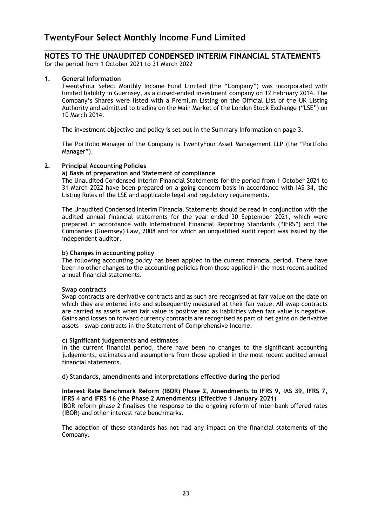## $\_$  , and the set of the set of the set of the set of the set of the set of the set of the set of the set of the set of the set of the set of the set of the set of the set of the set of the set of the set of the set of th **NOTES TO THE UNAUDITED CONDENSED INTERIM FINANCIAL STATEMENTS**

for the period from 1 October 2021 to 31 March 2022

## **1. General Information**

TwentyFour Select Monthly Income Fund Limited (the "Company") was incorporated with limited liability in Guernsey, as a closed-ended investment company on 12 February 2014. The Company's Shares were listed with a Premium Listing on the Official List of the UK Listing Authority and admitted to trading on the Main Market of the London Stock Exchange ("LSE") on 10 March 2014.

The investment objective and policy is set out in the Summary Information on page 3.

The Portfolio Manager of the Company is TwentyFour Asset Management LLP (the "Portfolio Manager").

## **2. Principal Accounting Policies**

## **a) Basis of preparation and Statement of compliance**

 The Unaudited Condensed Interim Financial Statements for the period from 1 October 2021 to 31 March 2022 have been prepared on a going concern basis in accordance with IAS 34, the Listing Rules of the LSE and applicable legal and regulatory requirements.

 The Unaudited Condensed Interim Financial Statements should be read in conjunction with the audited annual financial statements for the year ended 30 September 2021, which were prepared in accordance with International Financial Reporting Standards ("IFRS") and The Companies (Guernsey) Law, 2008 and for which an unqualified audit report was issued by the independent auditor.

#### **b) Changes in accounting policy**

 The following accounting policy has been applied in the current financial period. There have been no other changes to the accounting policies from those applied in the most recent audited annual financial statements.

#### **Swap contracts**

 Swap contracts are derivative contracts and as such are recognised at fair value on the date on which they are entered into and subsequently measured at their fair value. All swap contracts are carried as assets when fair value is positive and as liabilities when fair value is negative. Gains and losses on forward currency contracts are recognised as part of net gains on derivative assets - swap contracts in the Statement of Comprehensive Income.

#### **c) Significant judgements and estimates**

In the current financial period, there have been no changes to the significant accounting judgements, estimates and assumptions from those applied in the most recent audited annual financial statements.

#### **d) Standards, amendments and interpretations effective during the period**

## **Interest Rate Benchmark Reform (IBOR) Phase 2, Amendments to IFRS 9, IAS 39, IFRS 7, IFRS 4 and IFRS 16 (the Phase 2 Amendments) (Effective 1 January 2021)**

IBOR reform phase 2 finalises the response to the ongoing reform of inter-bank offered rates (IBOR) and other interest rate benchmarks.

The adoption of these standards has not had any impact on the financial statements of the Company.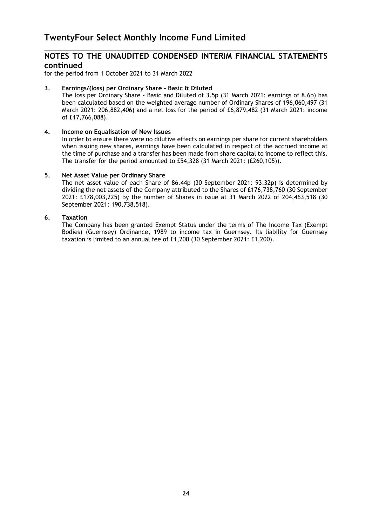$\_$  , and the set of the set of the set of the set of the set of the set of the set of the set of the set of the set of the set of the set of the set of the set of the set of the set of the set of the set of the set of th

for the period from 1 October 2021 to 31 March 2022

## **3. Earnings/(loss) per Ordinary Share - Basic & Diluted**

The loss per Ordinary Share - Basic and Diluted of 3.5p (31 March 2021: earnings of 8.6p) has been calculated based on the weighted average number of Ordinary Shares of 196,060,497 (31 March 2021: 206,882,406) and a net loss for the period of £6,879,482 (31 March 2021: income of £17,766,088).

#### **4. Income on Equalisation of New Issues**

In order to ensure there were no dilutive effects on earnings per share for current shareholders when issuing new shares, earnings have been calculated in respect of the accrued income at the time of purchase and a transfer has been made from share capital to income to reflect this. The transfer for the period amounted to £54,328 (31 March 2021: (£260,105)).

## **5. Net Asset Value per Ordinary Share**

The net asset value of each Share of 86.44p (30 September 2021: 93.32p) is determined by dividing the net assets of the Company attributed to the Shares of £176,738,760 (30 September 2021: £178,003,225) by the number of Shares in issue at 31 March 2022 of 204,463,518 (30 September 2021: 190,738,518).

## **6. Taxation**

 The Company has been granted Exempt Status under the terms of The Income Tax (Exempt Bodies) (Guernsey) Ordinance, 1989 to income tax in Guernsey. Its liability for Guernsey taxation is limited to an annual fee of £1,200 (30 September 2021: £1,200).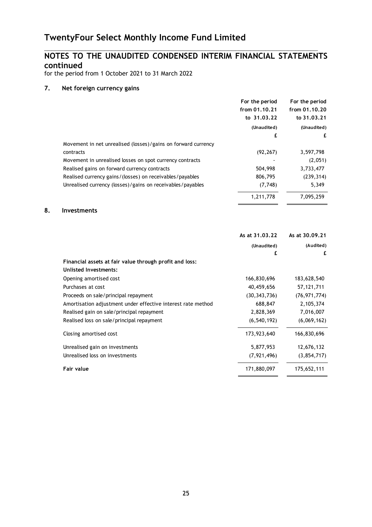## **NOTES TO THE UNAUDITED CONDENSED INTERIM FINANCIAL STATEMENTS continued**

 $\_$  , and the set of the set of the set of the set of the set of the set of the set of the set of the set of the set of the set of the set of the set of the set of the set of the set of the set of the set of the set of th

for the period from 1 October 2021 to 31 March 2022

## **7. Net foreign currency gains**

|                                                               | For the period | For the period |
|---------------------------------------------------------------|----------------|----------------|
|                                                               | from 01.10.21  | from 01,10,20  |
|                                                               | to 31.03.22    | to 31.03.21    |
|                                                               | (Unaudited)    | (Unaudited)    |
|                                                               | £              | £              |
| Movement in net unrealised (losses)/gains on forward currency |                |                |
| contracts                                                     | (92, 267)      | 3,597,798      |
| Movement in unrealised losses on spot currency contracts      |                | (2,051)        |
| Realised gains on forward currency contracts                  | 504,998        | 3,733,477      |
| Realised currency gains / (losses) on receivables / payables  | 806,795        | (239, 314)     |
| Unrealised currency (losses)/gains on receivables/payables    | (7,748)        | 5,349          |
|                                                               | 1.211.778      | 7.095.259      |

## **8. Investments**

|                                                              | As at 31.03.22 | As at 30.09.21 |
|--------------------------------------------------------------|----------------|----------------|
|                                                              | (Unaudited)    | (Audited)      |
|                                                              | £              | £              |
| Financial assets at fair value through profit and loss:      |                |                |
| Unlisted Investments:                                        |                |                |
| Opening amortised cost                                       | 166,830,696    | 183,628,540    |
| Purchases at cost                                            | 40,459,656     | 57,121,711     |
| Proceeds on sale/principal repayment                         | (30, 343, 736) | (76, 971, 774) |
| Amortisation adjustment under effective interest rate method | 688,847        | 2,105,374      |
| Realised gain on sale/principal repayment                    | 2,828,369      | 7,016,007      |
| Realised loss on sale/principal repayment                    | (6, 540, 192)  | (6,069,162)    |
| Closing amortised cost                                       | 173,923,640    | 166,830,696    |
| Unrealised gain on investments                               | 5,877,953      | 12,676,132     |
| Unrealised loss on investments                               | (7, 921, 496)  | (3,854,717)    |
| Fair value                                                   | 171,880,097    | 175,652,111    |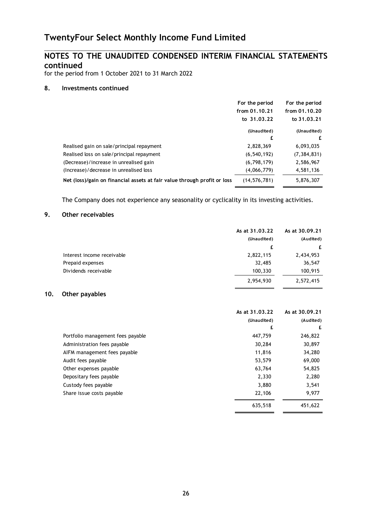## **NOTES TO THE UNAUDITED CONDENSED INTERIM FINANCIAL STATEMENTS continued**

 $\_$  , and the set of the set of the set of the set of the set of the set of the set of the set of the set of the set of the set of the set of the set of the set of the set of the set of the set of the set of the set of th

for the period from 1 October 2021 to 31 March 2022

## **8. Investments continued**

|                                                                          | For the period | For the period |
|--------------------------------------------------------------------------|----------------|----------------|
|                                                                          | from 01.10.21  | from 01.10.20  |
|                                                                          | to 31.03.22    | to 31.03.21    |
|                                                                          | (Unaudited)    | (Unaudited)    |
|                                                                          | £              |                |
| Realised gain on sale/principal repayment                                | 2,828,369      | 6,093,035      |
| Realised loss on sale/principal repayment                                | (6, 540, 192)  | (7, 384, 831)  |
| (Decrease)/increase in unrealised gain                                   | (6,798,179)    | 2,586,967      |
| (Increase)/decrease in unrealised loss                                   | (4,066,779)    | 4,581,136      |
| Net (loss)/gain on financial assets at fair value through profit or loss | (14, 576, 781) | 5,876,307      |

The Company does not experience any seasonality or cyclicality in its investing activities.

## **9. Other receivables**

|                            | As at 31.03.22 | As at 30.09.21 |
|----------------------------|----------------|----------------|
|                            | (Unaudited)    | (Audited)      |
|                            | £              | £              |
| Interest income receivable | 2,822,115      | 2,434,953      |
| Prepaid expenses           | 32,485         | 36,547         |
| Dividends receivable       | 100,330        | 100,915        |
|                            | 2,954,930      | 2,572,415      |

## **10. Other payables**

|                                   | As at 31.03.22 | As at 30.09.21 |
|-----------------------------------|----------------|----------------|
|                                   | (Unaudited)    | (Audited)      |
|                                   | £              | £              |
| Portfolio management fees payable | 447,759        | 246,822        |
| Administration fees payable       | 30,284         | 30,897         |
| AIFM management fees payable      | 11,816         | 34,280         |
| Audit fees payable                | 53,579         | 69,000         |
| Other expenses payable            | 63,764         | 54,825         |
| Depositary fees payable           | 2,330          | 2,280          |
| Custody fees payable              | 3,880          | 3,541          |
| Share issue costs payable         | 22,106         | 9,977          |
|                                   | 635,518        | 451,622        |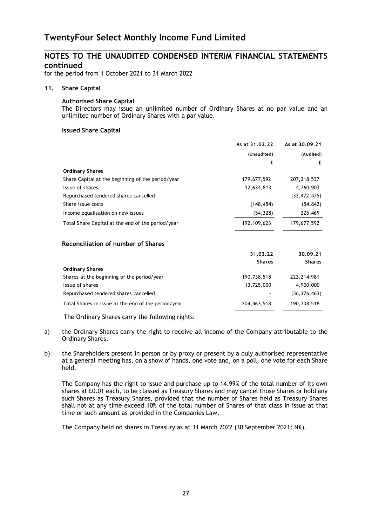$\_$  , and the set of the set of the set of the set of the set of the set of the set of the set of the set of the set of the set of the set of the set of the set of the set of the set of the set of the set of the set of th

for the period from 1 October 2021 to 31 March 2022

## **11. Share Capital**

## **Authorised Share Capital**

The Directors may issue an unlimited number of Ordinary Shares at no par value and an unlimited number of Ordinary Shares with a par value.

## **Issued Share Capital**

|                                                   | As at 31.03.22 | As at 30.09.21 |
|---------------------------------------------------|----------------|----------------|
|                                                   | (Unaudited)    | (Audited)      |
|                                                   | £              | £              |
| <b>Ordinary Shares</b>                            |                |                |
| Share Capital at the beginning of the period/year | 179,677,592    | 207,218,537    |
| Issue of shares                                   | 12,634,813     | 4,760,903      |
| Repurchased tendered shares cancelled             |                | (32, 472, 475) |
| Share issue costs                                 | (148, 454)     | (54, 842)      |
| Income equalisation on new issues                 | (54, 328)      | 225,469        |
| Total Share Capital at the end of the period/year | 192, 109, 623  | 179,677,592    |
| Reconciliation of number of Shares                |                |                |
|                                                   | 31.03.22       | 30.09.21       |
|                                                   | <b>Shares</b>  | <b>Shares</b>  |

| <b>Ordinary Shares</b>                              |             |                |
|-----------------------------------------------------|-------------|----------------|
| Shares at the beginning of the period/year          | 190,738,518 | 222,214,981    |
| Issue of shares                                     | 13,725,000  | 4,900,000      |
| Repurchased tendered shares cancelled               | $\sim$      | (36, 376, 463) |
| Total Shares in issue at the end of the period/year | 204,463,518 | 190,738,518    |
|                                                     |             |                |

The Ordinary Shares carry the following rights:

- a) the Ordinary Shares carry the right to receive all income of the Company attributable to the Ordinary Shares.
- b) the Shareholders present in person or by proxy or present by a duly authorised representative at a general meeting has, on a show of hands, one vote and, on a poll, one vote for each Share held.

 The Company has the right to issue and purchase up to 14.99% of the total number of its own shares at £0.01 each, to be classed as Treasury Shares and may cancel those Shares or hold any such Shares as Treasury Shares, provided that the number of Shares held as Treasury Shares shall not at any time exceed 10% of the total number of Shares of that class in issue at that time or such amount as provided in the Companies Law.

The Company held no shares in Treasury as at 31 March 2022 (30 September 2021: Nil).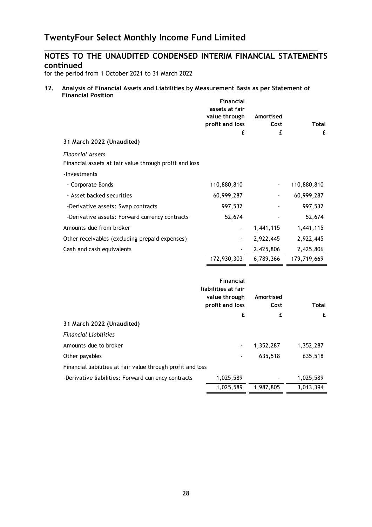## **NOTES TO THE UNAUDITED CONDENSED INTERIM FINANCIAL STATEMENTS continued**

 $\_$  , and the set of the set of the set of the set of the set of the set of the set of the set of the set of the set of the set of the set of the set of the set of the set of the set of the set of the set of the set of th

for the period from 1 October 2021 to 31 March 2022

#### **12. Analysis of Financial Assets and Liabilities by Measurement Basis as per Statement of Financial Position Financial**

|                                                             | r inancial<br>assets at fair<br>value through<br>profit and loss | Amortised<br>Cost | Total       |
|-------------------------------------------------------------|------------------------------------------------------------------|-------------------|-------------|
|                                                             | £                                                                | £                 | £           |
| 31 March 2022 (Unaudited)                                   |                                                                  |                   |             |
| <b>Financial Assets</b>                                     |                                                                  |                   |             |
| Financial assets at fair value through profit and loss      |                                                                  |                   |             |
| -Investments                                                |                                                                  |                   |             |
| - Corporate Bonds                                           | 110,880,810                                                      |                   | 110,880,810 |
| - Asset backed securities                                   | 60,999,287                                                       |                   | 60,999,287  |
| -Derivative assets: Swap contracts                          | 997,532                                                          |                   | 997,532     |
| -Derivative assets: Forward currency contracts              | 52,674                                                           |                   | 52,674      |
| Amounts due from broker                                     | $\blacksquare$                                                   | 1,441,115         | 1,441,115   |
| Other receivables (excluding prepaid expenses)              |                                                                  | 2,922,445         | 2,922,445   |
| Cash and cash equivalents                                   |                                                                  | 2,425,806         | 2,425,806   |
|                                                             | 172,930,303                                                      | 6,789,366         | 179,719,669 |
|                                                             |                                                                  |                   |             |
|                                                             | Financial                                                        |                   |             |
|                                                             | liabilities at fair<br>value through                             | Amortised         |             |
|                                                             | profit and loss                                                  | Cost              | Total       |
|                                                             | £                                                                | £                 | £           |
| 31 March 2022 (Unaudited)                                   |                                                                  |                   |             |
| <b>Financial Liabilities</b>                                |                                                                  |                   |             |
| Amounts due to broker                                       |                                                                  | 1,352,287         | 1,352,287   |
| Other payables                                              |                                                                  | 635,518           | 635,518     |
| Financial liabilities at fair value through profit and loss |                                                                  |                   |             |
| -Derivative liabilities: Forward currency contracts         | 1,025,589                                                        |                   | 1,025,589   |
|                                                             | 1,025,589                                                        | 1,987,805         | 3,013,394   |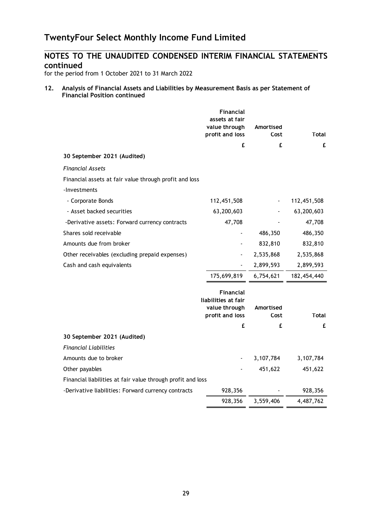## **NOTES TO THE UNAUDITED CONDENSED INTERIM FINANCIAL STATEMENTS continued**

 $\_$  , and the set of the set of the set of the set of the set of the set of the set of the set of the set of the set of the set of the set of the set of the set of the set of the set of the set of the set of the set of th

for the period from 1 October 2021 to 31 March 2022

## **12. Analysis of Financial Assets and Liabilities by Measurement Basis as per Statement of Financial Position continued**

|                                                             | Financial<br>assets at fair<br>value through<br>profit and loss      | Amortised<br>Cost | <b>Total</b> |
|-------------------------------------------------------------|----------------------------------------------------------------------|-------------------|--------------|
|                                                             | £                                                                    | £                 | £            |
| 30 September 2021 (Audited)                                 |                                                                      |                   |              |
| <b>Financial Assets</b>                                     |                                                                      |                   |              |
| Financial assets at fair value through profit and loss      |                                                                      |                   |              |
| -Investments                                                |                                                                      |                   |              |
| - Corporate Bonds                                           | 112,451,508                                                          |                   | 112,451,508  |
| - Asset backed securities                                   | 63,200,603                                                           |                   | 63,200,603   |
| -Derivative assets: Forward currency contracts              | 47,708                                                               |                   | 47,708       |
| Shares sold receivable                                      |                                                                      | 486,350           | 486,350      |
| Amounts due from broker                                     |                                                                      | 832,810           | 832,810      |
| Other receivables (excluding prepaid expenses)              |                                                                      | 2,535,868         | 2,535,868    |
| Cash and cash equivalents                                   |                                                                      | 2,899,593         | 2,899,593    |
|                                                             | 175,699,819                                                          | 6,754,621         | 182,454,440  |
|                                                             | Financial<br>liabilities at fair<br>value through<br>profit and loss | Amortised<br>Cost | <b>Total</b> |
|                                                             | £                                                                    | £                 | £            |
| 30 September 2021 (Audited)                                 |                                                                      |                   |              |
| <b>Financial Liabilities</b>                                |                                                                      |                   |              |
| Amounts due to broker                                       |                                                                      | 3,107,784         | 3,107,784    |
| Other payables                                              |                                                                      | 451,622           | 451,622      |
| Financial liabilities at fair value through profit and loss |                                                                      |                   |              |
| -Derivative liabilities: Forward currency contracts         | 928,356                                                              |                   | 928,356      |
|                                                             | 928,356                                                              | 3,559,406         | 4,487,762    |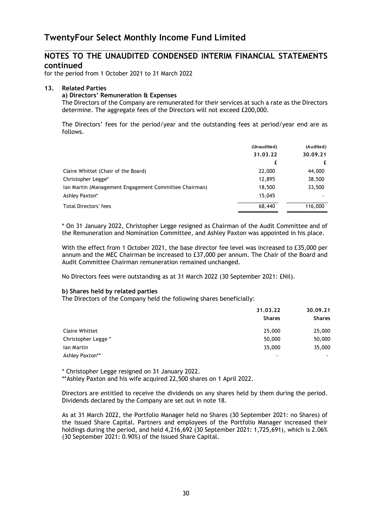$\_$  , and the set of the set of the set of the set of the set of the set of the set of the set of the set of the set of the set of the set of the set of the set of the set of the set of the set of the set of the set of th

for the period from 1 October 2021 to 31 March 2022

## **13. Related Parties**

#### **a) Directors' Remuneration & Expenses**

The Directors of the Company are remunerated for their services at such a rate as the Directors determine. The aggregate fees of the Directors will not exceed £200,000.

The Directors' fees for the period/year and the outstanding fees at period/year end are as follows.

|                                                       | (Unaudited)<br>31.03.22 | (Audited)<br>30.09.21 |
|-------------------------------------------------------|-------------------------|-----------------------|
|                                                       | £                       | £                     |
| Claire Whittet (Chair of the Board)                   | 22,000                  | 44,000                |
| Christopher Legge*                                    | 12,895                  | 38,500                |
| Ian Martin (Management Engagement Committee Chairman) | 18,500                  | 33,500                |
| Ashley Paxton*                                        | 15,045                  |                       |
| Total Directors' fees                                 | 68,440                  | 116,000               |

\* On 31 January 2022, Christopher Legge resigned as Chairman of the Audit Committee and of the Remuneration and Nomination Committee, and Ashley Paxton was appointed in his place.

With the effect from 1 October 2021, the base director fee level was increased to £35,000 per annum and the MEC Chairman be increased to £37,000 per annum. The Chair of the Board and Audit Committee Chairman remuneration remained unchanged.

No Directors fees were outstanding as at 31 March 2022 (30 September 2021: £Nil).

## **b) Shares held by related parties**

The Directors of the Company held the following shares beneficially:

|                       | 31,03,22      | 30.09.21<br><b>Shares</b> |
|-----------------------|---------------|---------------------------|
|                       | <b>Shares</b> |                           |
| <b>Claire Whittet</b> | 25,000        | 25,000                    |
| Christopher Legge *   | 50,000        | 50,000                    |
| lan Martin            | 35,000        | 35,000                    |
| Ashley Paxton**       |               |                           |

\* Christopher Legge resigned on 31 January 2022.

\*\*Ashley Paxton and his wife acquired 22,500 shares on 1 April 2022.

Directors are entitled to receive the dividends on any shares held by them during the period. Dividends declared by the Company are set out in note 18.

As at 31 March 2022, the Portfolio Manager held no Shares (30 September 2021: no Shares) of the Issued Share Capital. Partners and employees of the Portfolio Manager increased their holdings during the period, and held 4,216,692 (30 September 2021: 1,725,691), which is 2.06% (30 September 2021: 0.90%) of the Issued Share Capital.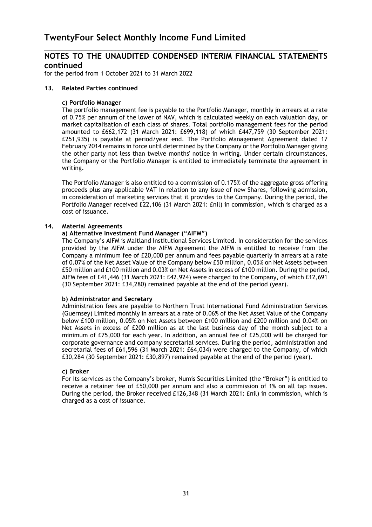$\_$  , and the contribution of the contribution of  $\mathcal{L}_\mathcal{A}$  , and the contribution of  $\mathcal{L}_\mathcal{A}$ 

for the period from 1 October 2021 to 31 March 2022

## **13. Related Parties continued**

## **c) Portfolio Manager**

 The portfolio management fee is payable to the Portfolio Manager, monthly in arrears at a rate of 0.75% per annum of the lower of NAV, which is calculated weekly on each valuation day, or market capitalisation of each class of shares. Total portfolio management fees for the period amounted to £662,172 (31 March 2021: £699,118) of which £447,759 (30 September 2021: £251,935) is payable at period/year end. The Portfolio Management Agreement dated 17 February 2014 remains in force until determined by the Company or the Portfolio Manager giving the other party not less than twelve months' notice in writing. Under certain circumstances, the Company or the Portfolio Manager is entitled to immediately terminate the agreement in writing.

 The Portfolio Manager is also entitled to a commission of 0.175% of the aggregate gross offering proceeds plus any applicable VAT in relation to any issue of new Shares, following admission, in consideration of marketing services that it provides to the Company. During the period, the Portfolio Manager received £22,106 (31 March 2021: £nil) in commission, which is charged as a cost of issuance.

## **14. Material Agreements**

## **a) Alternative Investment Fund Manager ("AIFM")**

The Company's AIFM is Maitland Institutional Services Limited. In consideration for the services provided by the AIFM under the AIFM Agreement the AIFM is entitled to receive from the Company a minimum fee of £20,000 per annum and fees payable quarterly in arrears at a rate of 0.07% of the Net Asset Value of the Company below £50 million, 0.05% on Net Assets between £50 million and £100 million and 0.03% on Net Assets in excess of £100 million. During the period, AIFM fees of £41,446 (31 March 2021: £42,924) were charged to the Company, of which £12,691 (30 September 2021: £34,280) remained payable at the end of the period (year).

## **b) Administrator and Secretary**

 Administration fees are payable to Northern Trust International Fund Administration Services (Guernsey) Limited monthly in arrears at a rate of 0.06% of the Net Asset Value of the Company below £100 million, 0.05% on Net Assets between £100 million and £200 million and 0.04% on Net Assets in excess of £200 million as at the last business day of the month subject to a minimum of £75,000 for each year. In addition, an annual fee of £25,000 will be charged for corporate governance and company secretarial services. During the period, administration and secretarial fees of £61,596 (31 March 2021: £64,034) were charged to the Company, of which £30,284 (30 September 2021: £30,897) remained payable at the end of the period (year).

#### **c) Broker**

For its services as the Company's broker, Numis Securities Limited (the "Broker") is entitled to receive a retainer fee of £50,000 per annum and also a commission of 1% on all tap issues. During the period, the Broker received £126,348 (31 March 2021: £nil) in commission, which is charged as a cost of issuance.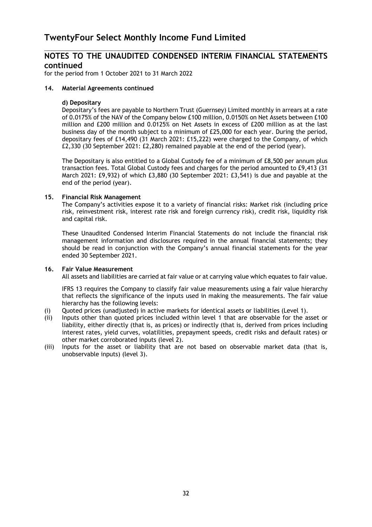$\_$  , and the contribution of the contribution of  $\mathcal{L}_\mathcal{A}$  , and the contribution of  $\mathcal{L}_\mathcal{A}$ 

for the period from 1 October 2021 to 31 March 2022

#### **14. Material Agreements continued**

#### **d) Depositary**

 Depositary's fees are payable to Northern Trust (Guernsey) Limited monthly in arrears at a rate of 0.0175% of the NAV of the Company below £100 million, 0.0150% on Net Assets between £100 million and £200 million and 0.0125% on Net Assets in excess of £200 million as at the last business day of the month subject to a minimum of £25,000 for each year. During the period, depositary fees of £14,490 (31 March 2021: £15,222) were charged to the Company, of which £2,330 (30 September 2021: £2,280) remained payable at the end of the period (year).

The Depositary is also entitled to a Global Custody fee of a minimum of £8,500 per annum plus transaction fees. Total Global Custody fees and charges for the period amounted to £9,413 (31 March 2021: £9,932) of which £3,880 (30 September 2021: £3,541) is due and payable at the end of the period (year).

## **15. Financial Risk Management**

The Company's activities expose it to a variety of financial risks: Market risk (including price risk, reinvestment risk, interest rate risk and foreign currency risk), credit risk, liquidity risk and capital risk.

These Unaudited Condensed Interim Financial Statements do not include the financial risk management information and disclosures required in the annual financial statements; they should be read in conjunction with the Company's annual financial statements for the year ended 30 September 2021.

#### **16. Fair Value Measurement**

All assets and liabilities are carried at fair value or at carrying value which equates to fair value.

 IFRS 13 requires the Company to classify fair value measurements using a fair value hierarchy that reflects the significance of the inputs used in making the measurements. The fair value hierarchy has the following levels:

- (i) Quoted prices (unadjusted) in active markets for identical assets or liabilities (Level 1).
- (ii) Inputs other than quoted prices included within level 1 that are observable for the asset or liability, either directly (that is, as prices) or indirectly (that is, derived from prices including interest rates, yield curves, volatilities, prepayment speeds, credit risks and default rates) or other market corroborated inputs (level 2).
- (iii) Inputs for the asset or liability that are not based on observable market data (that is, unobservable inputs) (level 3).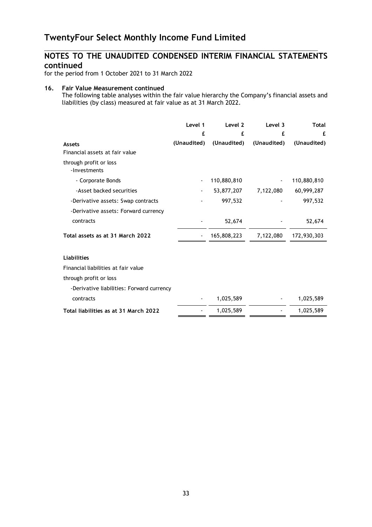$\_$  , and the contribution of the contribution of  $\mathcal{L}_\mathcal{A}$  , and the contribution of  $\mathcal{L}_\mathcal{A}$ 

for the period from 1 October 2021 to 31 March 2022

#### **16. Fair Value Measurement continued**

 The following table analyses within the fair value hierarchy the Company's financial assets and liabilities (by class) measured at fair value as at 31 March 2022.

|                                           | Level 1     | Level 2     | Level 3     | Total       |
|-------------------------------------------|-------------|-------------|-------------|-------------|
|                                           | £           | £           | £           | £           |
| <b>Assets</b>                             | (Unaudited) | (Unaudited) | (Unaudited) | (Unaudited) |
| Financial assets at fair value            |             |             |             |             |
| through profit or loss<br>-Investments    |             |             |             |             |
| - Corporate Bonds                         |             | 110,880,810 |             | 110,880,810 |
| -Asset backed securities                  |             | 53,877,207  | 7,122,080   | 60,999,287  |
| -Derivative assets: Swap contracts        |             | 997,532     |             | 997,532     |
| -Derivative assets: Forward currency      |             |             |             |             |
| contracts                                 |             | 52,674      |             | 52,674      |
| Total assets as at 31 March 2022          |             | 165,808,223 | 7,122,080   | 172,930,303 |
| <b>Liabilities</b>                        |             |             |             |             |
| Financial liabilities at fair value       |             |             |             |             |
| through profit or loss                    |             |             |             |             |
| -Derivative liabilities: Forward currency |             |             |             |             |
| contracts                                 |             | 1,025,589   |             | 1,025,589   |
| Total liabilities as at 31 March 2022     |             | 1,025,589   |             | 1,025,589   |
|                                           |             |             |             |             |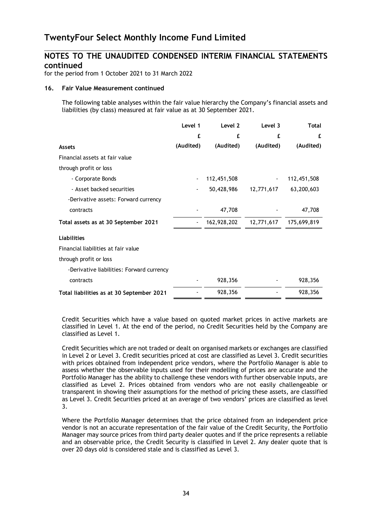$\_$  , and the contribution of the contribution of  $\mathcal{L}_\mathcal{A}$  , and the contribution of  $\mathcal{L}_\mathcal{A}$ 

for the period from 1 October 2021 to 31 March 2022

#### **16. Fair Value Measurement continued**

 The following table analyses within the fair value hierarchy the Company's financial assets and liabilities (by class) measured at fair value as at 30 September 2021.

|                                           | Level 1   | Level 2     | Level 3    | <b>Total</b> |
|-------------------------------------------|-----------|-------------|------------|--------------|
|                                           | £         | £           | £          | £            |
| <b>Assets</b>                             | (Audited) | (Audited)   | (Audited)  | (Audited)    |
| Financial assets at fair value            |           |             |            |              |
| through profit or loss                    |           |             |            |              |
| - Corporate Bonds                         | ٠         | 112,451,508 |            | 112,451,508  |
| - Asset backed securities                 |           | 50,428,986  | 12,771,617 | 63,200,603   |
| -Derivative assets: Forward currency      |           |             |            |              |
| contracts                                 |           | 47,708      |            | 47,708       |
| Total assets as at 30 September 2021      |           | 162,928,202 | 12,771,617 | 175,699,819  |
| <b>Liabilities</b>                        |           |             |            |              |
| Financial liabilities at fair value       |           |             |            |              |
| through profit or loss                    |           |             |            |              |
| -Derivative liabilities: Forward currency |           |             |            |              |
| contracts                                 |           | 928,356     |            | 928,356      |
| Total liabilities as at 30 September 2021 |           | 928,356     |            | 928,356      |

Credit Securities which have a value based on quoted market prices in active markets are classified in Level 1. At the end of the period, no Credit Securities held by the Company are classified as Level 1.

 Credit Securities which are not traded or dealt on organised markets or exchanges are classified in Level 2 or Level 3. Credit securities priced at cost are classified as Level 3. Credit securities with prices obtained from independent price vendors, where the Portfolio Manager is able to assess whether the observable inputs used for their modelling of prices are accurate and the Portfolio Manager has the ability to challenge these vendors with further observable inputs, are classified as Level 2. Prices obtained from vendors who are not easily challengeable or transparent in showing their assumptions for the method of pricing these assets, are classified as Level 3. Credit Securities priced at an average of two vendors' prices are classified as level 3.

Where the Portfolio Manager determines that the price obtained from an independent price vendor is not an accurate representation of the fair value of the Credit Security, the Portfolio Manager may source prices from third party dealer quotes and if the price represents a reliable and an observable price, the Credit Security is classified in Level 2. Any dealer quote that is over 20 days old is considered stale and is classified as Level 3.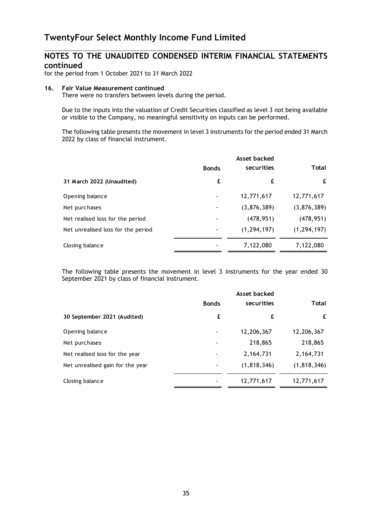$\_$  , and the contribution of the contribution of  $\mathcal{L}_\mathcal{A}$  , and the contribution of  $\mathcal{L}_\mathcal{A}$ 

for the period from 1 October 2021 to 31 March 2022

#### **16. Fair Value Measurement continued**

There were no transfers between levels during the period.

Due to the inputs into the valuation of Credit Securities classified as level 3 not being available or visible to the Company, no meaningful sensitivity on inputs can be performed.

 The following table presents the movement in level 3 instruments for the period ended 31 March 2022 by class of financial instrument.

|                                    | Asset backed |               |               |
|------------------------------------|--------------|---------------|---------------|
|                                    | <b>Bonds</b> | securities    | <b>Total</b>  |
| 31 March 2022 (Unaudited)          | £            | £             | £             |
| Opening balance                    | ٠            | 12,771,617    | 12,771,617    |
| Net purchases                      |              | (3,876,389)   | (3,876,389)   |
| Net realised loss for the period   | ٠            | (478, 951)    | (478, 951)    |
| Net unrealised loss for the period |              | (1, 294, 197) | (1, 294, 197) |
| Closing balance                    |              | 7,122,080     | 7,122,080     |

 The following table presents the movement in level 3 instruments for the year ended 30 September 2021 by class of financial instrument.

|                                  |              | Asset backed  |               |
|----------------------------------|--------------|---------------|---------------|
|                                  | <b>Bonds</b> | securities    | Total         |
| 30 September 2021 (Audited)      | £            | £             | £             |
| Opening balance                  |              | 12,206,367    | 12,206,367    |
| Net purchases                    |              | 218,865       | 218,865       |
| Net realised loss for the year   |              | 2,164,731     | 2,164,731     |
| Net unrealised gain for the year | -            | (1, 818, 346) | (1, 818, 346) |
| Closing balance                  |              | 12,771,617    | 12,771,617    |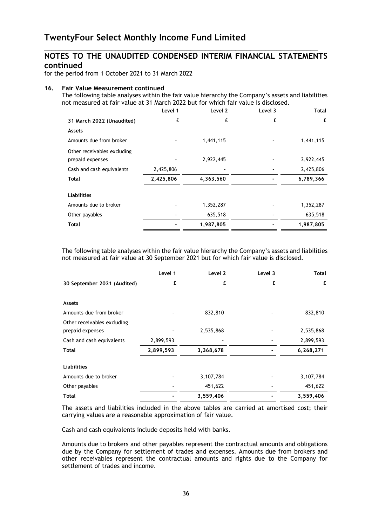$\_$  , and the contribution of the contribution of  $\mathcal{L}_\mathcal{A}$  , and the contribution of  $\mathcal{L}_\mathcal{A}$ 

for the period from 1 October 2021 to 31 March 2022

## **16. Fair Value Measurement continued**

 The following table analyses within the fair value hierarchy the Company's assets and liabilities not measured at fair value at 31 March 2022 but for which fair value is disclosed.

|                                                 | Level 1   | Level 2   | Level 3 | Total     |
|-------------------------------------------------|-----------|-----------|---------|-----------|
| 31 March 2022 (Unaudited)                       | £         | £         | £       | £         |
| Assets                                          |           |           |         |           |
| Amounts due from broker                         |           | 1,441,115 |         | 1,441,115 |
| Other receivables excluding<br>prepaid expenses |           | 2,922,445 |         | 2,922,445 |
| Cash and cash equivalents                       | 2,425,806 |           |         | 2,425,806 |
| Total                                           | 2,425,806 | 4,363,560 |         | 6,789,366 |
| <b>Liabilities</b>                              |           |           |         |           |
| Amounts due to broker                           |           | 1,352,287 |         | 1,352,287 |
| Other payables                                  |           | 635,518   |         | 635,518   |
| Total                                           |           | 1,987,805 |         | 1,987,805 |

 The following table analyses within the fair value hierarchy the Company's assets and liabilities not measured at fair value at 30 September 2021 but for which fair value is disclosed.

|                                                 | Level 1   | Level 2   | Level 3 | <b>Total</b> |
|-------------------------------------------------|-----------|-----------|---------|--------------|
| 30 September 2021 (Audited)                     | £         | £         | £       | £            |
| Assets                                          |           |           |         |              |
| Amounts due from broker                         |           | 832,810   |         | 832,810      |
| Other receivables excluding<br>prepaid expenses |           | 2,535,868 |         | 2,535,868    |
| Cash and cash equivalents                       | 2,899,593 |           |         | 2,899,593    |
| Total                                           | 2,899,593 | 3,368,678 |         | 6,268,271    |
| <b>Liabilities</b>                              |           |           |         |              |
| Amounts due to broker                           |           | 3,107,784 |         | 3,107,784    |
| Other payables                                  |           | 451,622   |         | 451,622      |
| Total                                           |           | 3,559,406 |         | 3,559,406    |

The assets and liabilities included in the above tables are carried at amortised cost; their carrying values are a reasonable approximation of fair value.

Cash and cash equivalents include deposits held with banks.

Amounts due to brokers and other payables represent the contractual amounts and obligations due by the Company for settlement of trades and expenses. Amounts due from brokers and other receivables represent the contractual amounts and rights due to the Company for settlement of trades and income.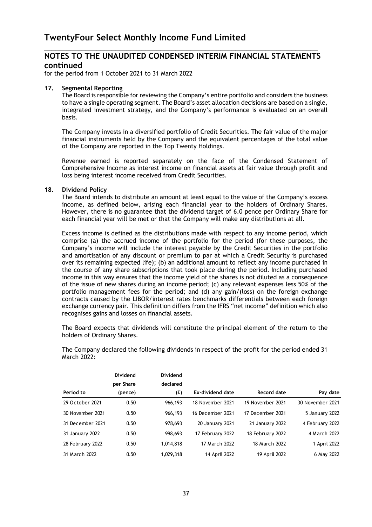$\_$  , and the contribution of the contribution of  $\mathcal{L}_\mathcal{A}$  , and the contribution of  $\mathcal{L}_\mathcal{A}$ 

for the period from 1 October 2021 to 31 March 2022

## **17. Segmental Reporting**

The Board is responsible for reviewing the Company's entire portfolio and considers the business to have a single operating segment. The Board's asset allocation decisions are based on a single, integrated investment strategy, and the Company's performance is evaluated on an overall basis.

 The Company invests in a diversified portfolio of Credit Securities. The fair value of the major financial instruments held by the Company and the equivalent percentages of the total value of the Company are reported in the Top Twenty Holdings.

 Revenue earned is reported separately on the face of the Condensed Statement of Comprehensive Income as interest income on financial assets at fair value through profit and loss being interest income received from Credit Securities.

## **18. Dividend Policy**

 The Board intends to distribute an amount at least equal to the value of the Company's excess income, as defined below, arising each financial year to the holders of Ordinary Shares. However, there is no guarantee that the dividend target of 6.0 pence per Ordinary Share for each financial year will be met or that the Company will make any distributions at all.

Excess income is defined as the distributions made with respect to any income period, which comprise (a) the accrued income of the portfolio for the period (for these purposes, the Company's income will include the interest payable by the Credit Securities in the portfolio and amortisation of any discount or premium to par at which a Credit Security is purchased over its remaining expected life); (b) an additional amount to reflect any income purchased in the course of any share subscriptions that took place during the period. Including purchased income in this way ensures that the income yield of the shares is not diluted as a consequence of the issue of new shares during an income period; (c) any relevant expenses less 50% of the portfolio management fees for the period; and (d) any gain/(loss) on the foreign exchange contracts caused by the LIBOR/interest rates benchmarks differentials between each foreign exchange currency pair. This definition differs from the IFRS "net income" definition which also recognises gains and losses on financial assets.

The Board expects that dividends will constitute the principal element of the return to the holders of Ordinary Shares.

|                  | Dividend<br>per Share | Dividend<br>declared |                  |                  |                  |
|------------------|-----------------------|----------------------|------------------|------------------|------------------|
| Period to        | (pence)               | (E)                  | Ex-dividend date | Record date      | Pay date         |
| 29 October 2021  | 0.50                  | 966,193              | 18 November 2021 | 19 November 2021 | 30 November 2021 |
| 30 November 2021 | 0.50                  | 966,193              | 16 December 2021 | 17 December 2021 | 5 January 2022   |
| 31 December 2021 | 0.50                  | 978,693              | 20 January 2021  | 21 January 2022  | 4 February 2022  |
| 31 January 2022  | 0.50                  | 998,693              | 17 February 2022 | 18 February 2022 | 4 March 2022     |
| 28 February 2022 | 0.50                  | 1,014,818            | 17 March 2022    | 18 March 2022    | 1 April 2022     |
| 31 March 2022    | 0.50                  | 1,029,318            | 14 April 2022    | 19 April 2022    | 6 May 2022       |

The Company declared the following dividends in respect of the profit for the period ended 31 March 2022: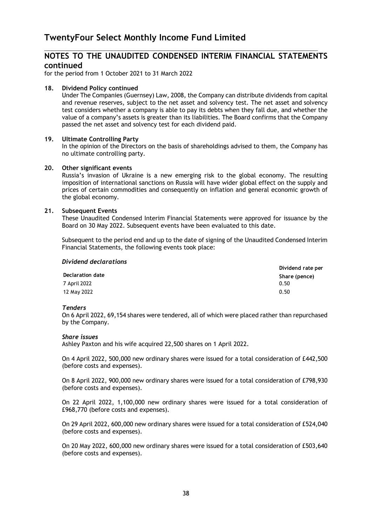$\_$  , and the contribution of the contribution of  $\mathcal{L}_\mathcal{A}$  , and the contribution of  $\mathcal{L}_\mathcal{A}$ 

for the period from 1 October 2021 to 31 March 2022

## **18. Dividend Policy continued**

Under The Companies (Guernsey) Law, 2008, the Company can distribute dividends from capital and revenue reserves, subject to the net asset and solvency test. The net asset and solvency test considers whether a company is able to pay its debts when they fall due, and whether the value of a company's assets is greater than its liabilities. The Board confirms that the Company passed the net asset and solvency test for each dividend paid.

## **19. Ultimate Controlling Party**

In the opinion of the Directors on the basis of shareholdings advised to them, the Company has no ultimate controlling party.

#### **20. Other significant events**

Russia's invasion of Ukraine is a new emerging risk to the global economy. The resulting imposition of international sanctions on Russia will have wider global effect on the supply and prices of certain commodities and consequently on inflation and general economic growth of the global economy.

## **21. Subsequent Events**

 These Unaudited Condensed Interim Financial Statements were approved for issuance by the Board on 30 May 2022. Subsequent events have been evaluated to this date.

 Subsequent to the period end and up to the date of signing of the Unaudited Condensed Interim Financial Statements, the following events took place:

| Dividend declarations |                   |
|-----------------------|-------------------|
|                       | Dividend rate per |
| Declaration date      | Share (pence)     |
| 7 April 2022          | 0.50              |
| 12 May 2022           | 0.50              |

#### *Tenders*

On 6 April 2022, 69,154 shares were tendered, all of which were placed rather than repurchased by the Company.

#### *Share issues*

Ashley Paxton and his wife acquired 22,500 shares on 1 April 2022.

On 4 April 2022, 500,000 new ordinary shares were issued for a total consideration of £442,500 (before costs and expenses).

On 8 April 2022, 900,000 new ordinary shares were issued for a total consideration of £798,930 (before costs and expenses).

On 22 April 2022, 1,100,000 new ordinary shares were issued for a total consideration of £968,770 (before costs and expenses).

On 29 April 2022, 600,000 new ordinary shares were issued for a total consideration of £524,040 (before costs and expenses).

On 20 May 2022, 600,000 new ordinary shares were issued for a total consideration of £503,640 (before costs and expenses).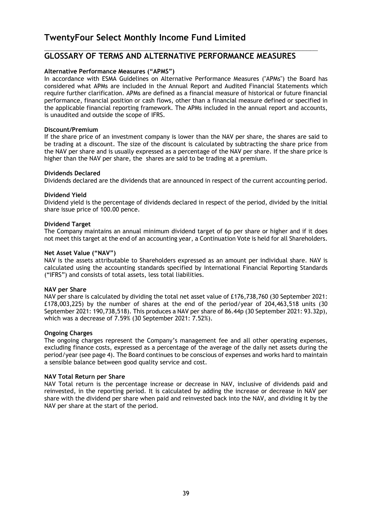## **GLOSSARY OF TERMS AND ALTERNATIVE PERFORMANCE MEASURES**

 $\_$  , and the contribution of the contribution of  $\mathcal{L}_\mathcal{A}$  , and the contribution of  $\mathcal{L}_\mathcal{A}$ 

## **Alternative Performance Measures ("APMS")**

In accordance with ESMA Guidelines on Alternative Performance Measures ("APMs") the Board has considered what APMs are included in the Annual Report and Audited Financial Statements which require further clarification. APMs are defined as a financial measure of historical or future financial performance, financial position or cash flows, other than a financial measure defined or specified in the applicable financial reporting framework. The APMs included in the annual report and accounts, is unaudited and outside the scope of IFRS.

## **Discount/Premium**

If the share price of an investment company is lower than the NAV per share, the shares are said to be trading at a discount. The size of the discount is calculated by subtracting the share price from the NAV per share and is usually expressed as a percentage of the NAV per share. If the share price is higher than the NAV per share, the shares are said to be trading at a premium.

## **Dividends Declared**

Dividends declared are the dividends that are announced in respect of the current accounting period.

## **Dividend Yield**

Dividend yield is the percentage of dividends declared in respect of the period, divided by the initial share issue price of 100.00 pence.

## **Dividend Target**

The Company maintains an annual minimum dividend target of 6p per share or higher and if it does not meet this target at the end of an accounting year, a Continuation Vote is held for all Shareholders.

## **Net Asset Value ("NAV")**

NAV is the assets attributable to Shareholders expressed as an amount per individual share. NAV is calculated using the accounting standards specified by International Financial Reporting Standards ("IFRS") and consists of total assets, less total liabilities.

## **NAV per Share**

NAV per share is calculated by dividing the total net asset value of £176,738,760 (30 September 2021: £178,003,225) by the number of shares at the end of the period/year of 204,463,518 units (30 September 2021: 190,738,518). This produces a NAV per share of 86.44p (30 September 2021: 93.32p), which was a decrease of 7.59% (30 September 2021: 7.52%).

#### **Ongoing Charges**

The ongoing charges represent the Company's management fee and all other operating expenses, excluding finance costs, expressed as a percentage of the average of the daily net assets during the period/year (see page 4). The Board continues to be conscious of expenses and works hard to maintain a sensible balance between good quality service and cost.

#### **NAV Total Return per Share**

NAV Total return is the percentage increase or decrease in NAV, inclusive of dividends paid and reinvested, in the reporting period. It is calculated by adding the increase or decrease in NAV per share with the dividend per share when paid and reinvested back into the NAV, and dividing it by the NAV per share at the start of the period.